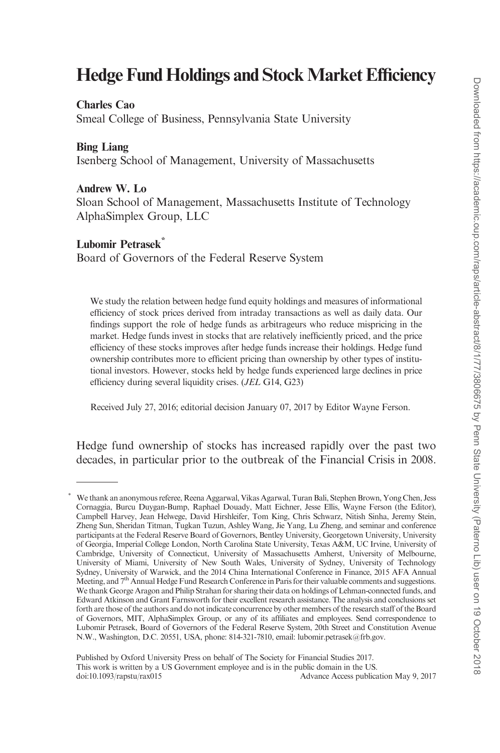# Hedge Fund Holdings and Stock Market Efficiency

# Charles Cao

Smeal College of Business, Pennsylvania State University

# Bing Liang

Isenberg School of Management, University of Massachusetts

# Andrew W. Lo

Sloan School of Management, Massachusetts Institute of Technology AlphaSimplex Group, LLC

# Lubomir Petrasek\*

Board of Governors of the Federal Reserve System

We study the relation between hedge fund equity holdings and measures of informational efficiency of stock prices derived from intraday transactions as well as daily data. Our findings support the role of hedge funds as arbitrageurs who reduce mispricing in the market. Hedge funds invest in stocks that are relatively inefficiently priced, and the price efficiency of these stocks improves after hedge funds increase their holdings. Hedge fund ownership contributes more to efficient pricing than ownership by other types of institutional investors. However, stocks held by hedge funds experienced large declines in price efficiency during several liquidity crises. (JEL G14, G23)

Received July 27, 2016; editorial decision January 07, 2017 by Editor Wayne Ferson.

Hedge fund ownership of stocks has increased rapidly over the past two decades, in particular prior to the outbreak of the Financial Crisis in 2008.

<sup>\*</sup> We thank an anonymous referee, Reena Aggarwal, Vikas Agarwal, Turan Bali, Stephen Brown, Yong Chen, Jess Cornaggia, Burcu Duygan-Bump, Raphael Douady, Matt Eichner, Jesse Ellis, Wayne Ferson (the Editor), Campbell Harvey, Jean Helwege, David Hirshleifer, Tom King, Chris Schwarz, Nitish Sinha, Jeremy Stein, Zheng Sun, Sheridan Titman, Tugkan Tuzun, Ashley Wang, Jie Yang, Lu Zheng, and seminar and conference participants at the Federal Reserve Board of Governors, Bentley University, Georgetown University, University of Georgia, Imperial College London, North Carolina State University, Texas A&M, UC Irvine, University of Cambridge, University of Connecticut, University of Massachusetts Amherst, University of Melbourne, University of Miami, University of New South Wales, University of Sydney, University of Technology Sydney, University of Warwick, and the 2014 China International Conference in Finance, 2015 AFA Annual Meeting, and 7<sup>th</sup> Annual Hedge Fund Research Conference in Paris for their valuable comments and suggestions. We thank George Aragon and Philip Strahan for sharing their data on holdings of Lehman-connected funds, and Edward Atkinson and Grant Farnsworth for their excellent research assistance. The analysis and conclusions set forth are those of the authors and do not indicate concurrence by other members of the research staff of the Board of Governors, MIT, AlphaSimplex Group, or any of its affiliates and employees. Send correspondence to Lubomir Petrasek, Board of Governors of the Federal Reserve System, 20th Street and Constitution Avenue N.W., Washington, D.C. 20551, USA, phone: 814-321-7810, email: lubomir.petrasek@frb.gov.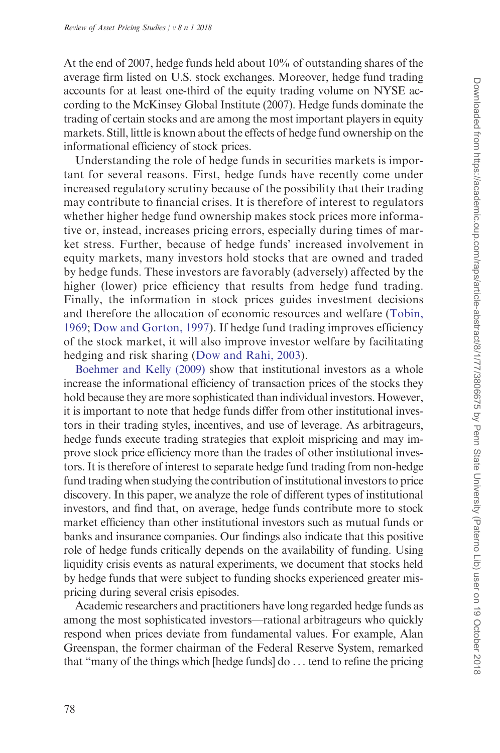At the end of 2007, hedge funds held about 10% of outstanding shares of the average firm listed on U.S. stock exchanges. Moreover, hedge fund trading accounts for at least one-third of the equity trading volume on NYSE according to the McKinsey Global Institute (2007). Hedge funds dominate the trading of certain stocks and are among the most important players in equity markets. Still, little is known about the effects of hedge fund ownership on the informational efficiency of stock prices.

Understanding the role of hedge funds in securities markets is important for several reasons. First, hedge funds have recently come under increased regulatory scrutiny because of the possibility that their trading may contribute to financial crises. It is therefore of interest to regulators whether higher hedge fund ownership makes stock prices more informative or, instead, increases pricing errors, especially during times of market stress. Further, because of hedge funds' increased involvement in equity markets, many investors hold stocks that are owned and traded by hedge funds. These investors are favorably (adversely) affected by the higher (lower) price efficiency that results from hedge fund trading. Finally, the information in stock prices guides investment decisions and therefore the allocation of economic resources and welfare ([Tobin,](#page-39-0) [1969](#page-39-0); [Dow and Gorton, 1997](#page-38-0)). If hedge fund trading improves efficiency of the stock market, it will also improve investor welfare by facilitating hedging and risk sharing ([Dow and Rahi, 2003](#page-38-0)).

[Boehmer and Kelly \(2009\)](#page-37-0) show that institutional investors as a whole increase the informational efficiency of transaction prices of the stocks they hold because they are more sophisticated than individual investors. However, it is important to note that hedge funds differ from other institutional investors in their trading styles, incentives, and use of leverage. As arbitrageurs, hedge funds execute trading strategies that exploit mispricing and may improve stock price efficiency more than the trades of other institutional investors. It is therefore of interest to separate hedge fund trading from non-hedge fund trading when studying the contribution of institutional investors to price discovery. In this paper, we analyze the role of different types of institutional investors, and find that, on average, hedge funds contribute more to stock market efficiency than other institutional investors such as mutual funds or banks and insurance companies. Our findings also indicate that this positive role of hedge funds critically depends on the availability of funding. Using liquidity crisis events as natural experiments, we document that stocks held by hedge funds that were subject to funding shocks experienced greater mispricing during several crisis episodes.

Academic researchers and practitioners have long regarded hedge funds as among the most sophisticated investors—rational arbitrageurs who quickly respond when prices deviate from fundamental values. For example, Alan Greenspan, the former chairman of the Federal Reserve System, remarked that "many of the things which [hedge funds] do ... tend to refine the pricing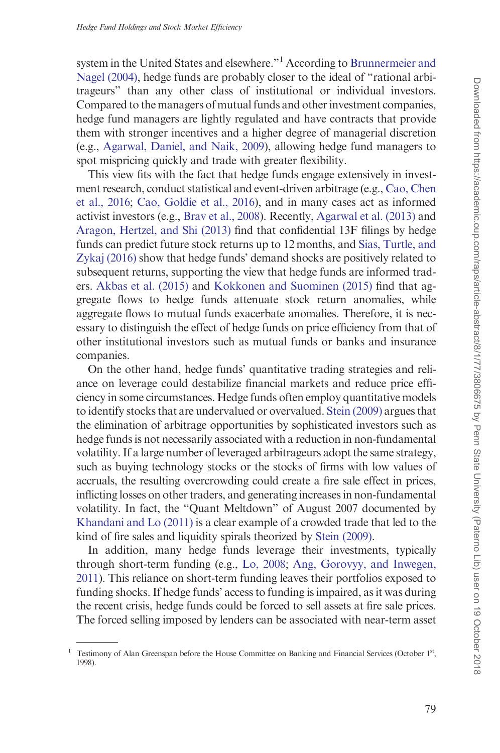system in the United States and elsewhere."<sup>1</sup> According to [Brunnermeier and](#page-38-0) [Nagel \(2004\)](#page-38-0), hedge funds are probably closer to the ideal of "rational arbitrageurs" than any other class of institutional or individual investors. Compared to the managers of mutual funds and other investment companies, hedge fund managers are lightly regulated and have contracts that provide them with stronger incentives and a higher degree of managerial discretion (e.g., [Agarwal, Daniel, and Naik, 2009\)](#page-37-0), allowing hedge fund managers to spot mispricing quickly and trade with greater flexibility.

This view fits with the fact that hedge funds engage extensively in investment research, conduct statistical and event-driven arbitrage (e.g., [Cao, Chen](#page-38-0) [et al., 2016](#page-38-0); [Cao, Goldie et al., 2016](#page-38-0)), and in many cases act as informed activist investors (e.g., [Brav et al., 2008\)](#page-37-0). Recently, [Agarwal et al. \(2013\)](#page-37-0) and [Aragon, Hertzel, and Shi \(2013\)](#page-37-0) find that confidential 13F filings by hedge funds can predict future stock returns up to 12 months, and [Sias, Turtle, and](#page-39-0) [Zykaj \(2016\)](#page-39-0) show that hedge funds' demand shocks are positively related to subsequent returns, supporting the view that hedge funds are informed traders. [Akbas et al. \(2015\)](#page-37-0) and [Kokkonen and Suominen \(2015\)](#page-39-0) find that aggregate flows to hedge funds attenuate stock return anomalies, while aggregate flows to mutual funds exacerbate anomalies. Therefore, it is necessary to distinguish the effect of hedge funds on price efficiency from that of other institutional investors such as mutual funds or banks and insurance companies.

On the other hand, hedge funds' quantitative trading strategies and reliance on leverage could destabilize financial markets and reduce price efficiency in some circumstances. Hedge funds often employ quantitative models to identify stocks that are undervalued or overvalued. [Stein \(2009\)](#page-39-0) argues that the elimination of arbitrage opportunities by sophisticated investors such as hedge funds is not necessarily associated with a reduction in non-fundamental volatility. If a large number of leveraged arbitrageurs adopt the same strategy, such as buying technology stocks or the stocks of firms with low values of accruals, the resulting overcrowding could create a fire sale effect in prices, inflicting losses on other traders, and generating increases in non-fundamental volatility. In fact, the "Quant Meltdown" of August 2007 documented by [Khandani and Lo \(2011\)](#page-39-0) is a clear example of a crowded trade that led to the kind of fire sales and liquidity spirals theorized by [Stein \(2009\)](#page-39-0).

In addition, many hedge funds leverage their investments, typically through short-term funding (e.g., [Lo, 2008](#page-39-0); [Ang, Gorovyy, and Inwegen,](#page-37-0) [2011](#page-37-0)). This reliance on short-term funding leaves their portfolios exposed to funding shocks. If hedge funds' access to funding is impaired, as it was during the recent crisis, hedge funds could be forced to sell assets at fire sale prices. The forced selling imposed by lenders can be associated with near-term asset

<sup>&</sup>lt;sup>1</sup> Testimony of Alan Greenspan before the House Committee on Banking and Financial Services (October 1<sup>st</sup>, 1998).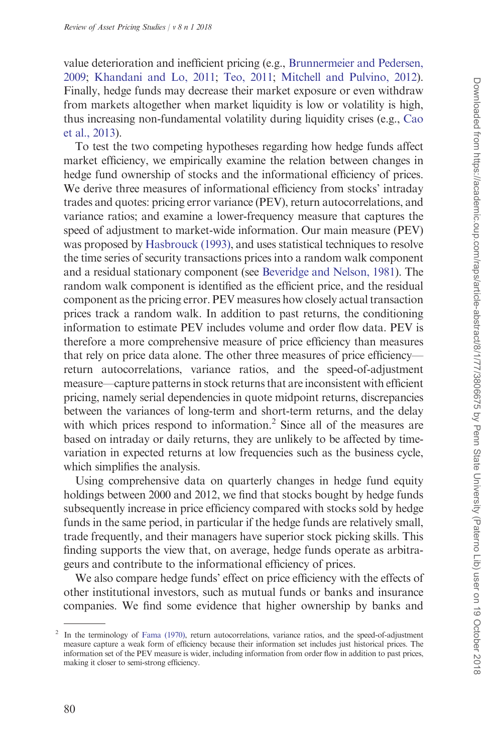value deterioration and inefficient pricing (e.g., [Brunnermeier and Pedersen,](#page-37-0) [2009](#page-37-0); [Khandani and Lo, 2011;](#page-39-0) [Teo, 2011](#page-39-0); [Mitchell and Pulvino, 2012](#page-39-0)). Finally, hedge funds may decrease their market exposure or even withdraw from markets altogether when market liquidity is low or volatility is high, thus increasing non-fundamental volatility during liquidity crises (e.g., [Cao](#page-38-0) [et al., 2013](#page-38-0)).

To test the two competing hypotheses regarding how hedge funds affect market efficiency, we empirically examine the relation between changes in hedge fund ownership of stocks and the informational efficiency of prices. We derive three measures of informational efficiency from stocks' intraday trades and quotes: pricing error variance (PEV), return autocorrelations, and variance ratios; and examine a lower-frequency measure that captures the speed of adjustment to market-wide information. Our main measure (PEV) was proposed by [Hasbrouck \(1993\),](#page-38-0) and uses statistical techniques to resolve the time series of security transactions prices into a random walk component and a residual stationary component (see [Beveridge and Nelson, 1981\)](#page-37-0). The random walk component is identified as the efficient price, and the residual component as the pricing error. PEV measures how closely actual transaction prices track a random walk. In addition to past returns, the conditioning information to estimate PEV includes volume and order flow data. PEV is therefore a more comprehensive measure of price efficiency than measures that rely on price data alone. The other three measures of price efficiency return autocorrelations, variance ratios, and the speed-of-adjustment measure—capture patterns in stock returns that are inconsistent with efficient pricing, namely serial dependencies in quote midpoint returns, discrepancies between the variances of long-term and short-term returns, and the delay with which prices respond to information.<sup>2</sup> Since all of the measures are based on intraday or daily returns, they are unlikely to be affected by timevariation in expected returns at low frequencies such as the business cycle, which simplifies the analysis.

Using comprehensive data on quarterly changes in hedge fund equity holdings between 2000 and 2012, we find that stocks bought by hedge funds subsequently increase in price efficiency compared with stocks sold by hedge funds in the same period, in particular if the hedge funds are relatively small, trade frequently, and their managers have superior stock picking skills. This finding supports the view that, on average, hedge funds operate as arbitrageurs and contribute to the informational efficiency of prices.

We also compare hedge funds' effect on price efficiency with the effects of other institutional investors, such as mutual funds or banks and insurance companies. We find some evidence that higher ownership by banks and

In the terminology of [Fama \(1970\)](#page-38-0), return autocorrelations, variance ratios, and the speed-of-adjustment measure capture a weak form of efficiency because their information set includes just historical prices. The information set of the PEV measure is wider, including information from order flow in addition to past prices, making it closer to semi-strong efficiency.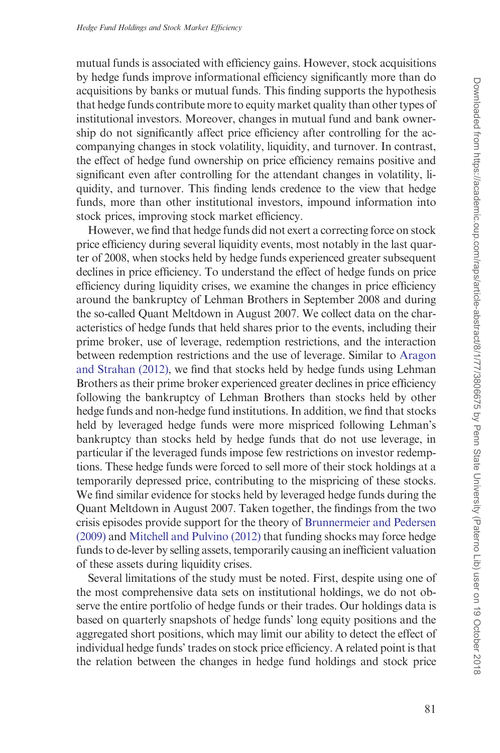mutual funds is associated with efficiency gains. However, stock acquisitions by hedge funds improve informational efficiency significantly more than do acquisitions by banks or mutual funds. This finding supports the hypothesis that hedge funds contribute more to equity market quality than other types of institutional investors. Moreover, changes in mutual fund and bank ownership do not significantly affect price efficiency after controlling for the accompanying changes in stock volatility, liquidity, and turnover. In contrast, the effect of hedge fund ownership on price efficiency remains positive and significant even after controlling for the attendant changes in volatility, liquidity, and turnover. This finding lends credence to the view that hedge funds, more than other institutional investors, impound information into stock prices, improving stock market efficiency.

However, we find that hedge funds did not exert a correcting force on stock price efficiency during several liquidity events, most notably in the last quarter of 2008, when stocks held by hedge funds experienced greater subsequent declines in price efficiency. To understand the effect of hedge funds on price efficiency during liquidity crises, we examine the changes in price efficiency around the bankruptcy of Lehman Brothers in September 2008 and during the so-called Quant Meltdown in August 2007. We collect data on the characteristics of hedge funds that held shares prior to the events, including their prime broker, use of leverage, redemption restrictions, and the interaction between redemption restrictions and the use of leverage. Similar to [Aragon](#page-37-0) [and Strahan \(2012\)](#page-37-0), we find that stocks held by hedge funds using Lehman Brothers as their prime broker experienced greater declines in price efficiency following the bankruptcy of Lehman Brothers than stocks held by other hedge funds and non-hedge fund institutions. In addition, we find that stocks held by leveraged hedge funds were more mispriced following Lehman's bankruptcy than stocks held by hedge funds that do not use leverage, in particular if the leveraged funds impose few restrictions on investor redemptions. These hedge funds were forced to sell more of their stock holdings at a temporarily depressed price, contributing to the mispricing of these stocks. We find similar evidence for stocks held by leveraged hedge funds during the Quant Meltdown in August 2007. Taken together, the findings from the two crisis episodes provide support for the theory of [Brunnermeier and Pedersen](#page-37-0) [\(2009\)](#page-37-0) and [Mitchell and Pulvino \(2012\)](#page-39-0) that funding shocks may force hedge funds to de-lever by selling assets, temporarily causing an inefficient valuation of these assets during liquidity crises.

Several limitations of the study must be noted. First, despite using one of the most comprehensive data sets on institutional holdings, we do not observe the entire portfolio of hedge funds or their trades. Our holdings data is based on quarterly snapshots of hedge funds' long equity positions and the aggregated short positions, which may limit our ability to detect the effect of individual hedge funds' trades on stock price efficiency. A related point is that the relation between the changes in hedge fund holdings and stock price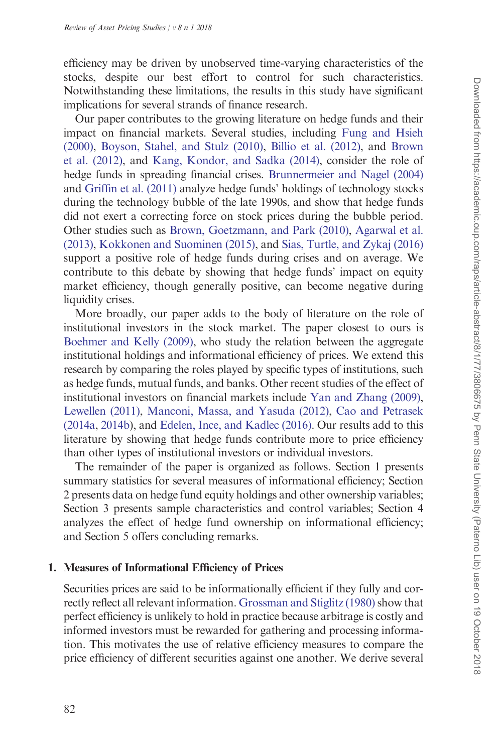efficiency may be driven by unobserved time-varying characteristics of the stocks, despite our best effort to control for such characteristics. Notwithstanding these limitations, the results in this study have significant implications for several strands of finance research.

Our paper contributes to the growing literature on hedge funds and their impact on financial markets. Several studies, including [Fung and Hsieh](#page-38-0) [\(2000\)](#page-38-0), [Boyson, Stahel, and Stulz \(2010\),](#page-37-0) [Billio et al. \(2012\),](#page-37-0) and [Brown](#page-37-0) [et al. \(2012\),](#page-37-0) and [Kang, Kondor, and Sadka \(2014\)](#page-39-0), consider the role of hedge funds in spreading financial crises. [Brunnermeier and Nagel \(2004\)](#page-38-0) and [Griffin et al. \(2011\)](#page-38-0) analyze hedge funds' holdings of technology stocks during the technology bubble of the late 1990s, and show that hedge funds did not exert a correcting force on stock prices during the bubble period. Other studies such as [Brown, Goetzmann, and Park \(2010\),](#page-37-0) [Agarwal et al.](#page-37-0) [\(2013\)](#page-37-0), [Kokkonen and Suominen \(2015\),](#page-39-0) and [Sias, Turtle, and Zykaj \(2016\)](#page-39-0) support a positive role of hedge funds during crises and on average. We contribute to this debate by showing that hedge funds' impact on equity market efficiency, though generally positive, can become negative during liquidity crises.

More broadly, our paper adds to the body of literature on the role of institutional investors in the stock market. The paper closest to ours is [Boehmer and Kelly \(2009\),](#page-37-0) who study the relation between the aggregate institutional holdings and informational efficiency of prices. We extend this research by comparing the roles played by specific types of institutions, such as hedge funds, mutual funds, and banks. Other recent studies of the effect of institutional investors on financial markets include [Yan and Zhang \(2009\)](#page-39-0), [Lewellen \(2011\),](#page-39-0) [Manconi, Massa, and Yasuda \(2012\),](#page-39-0) [Cao and Petrasek](#page-38-0) [\(2014a](#page-38-0), [2014b\)](#page-38-0), and [Edelen, Ince, and Kadlec \(2016\)](#page-38-0). Our results add to this literature by showing that hedge funds contribute more to price efficiency than other types of institutional investors or individual investors.

The remainder of the paper is organized as follows. Section 1 presents summary statistics for several measures of informational efficiency; Section 2 presents data on hedge fund equity holdings and other ownership variables; Section 3 presents sample characteristics and control variables; Section 4 analyzes the effect of hedge fund ownership on informational efficiency; and Section 5 offers concluding remarks.

### 1. Measures of Informational Efficiency of Prices

Securities prices are said to be informationally efficient if they fully and cor-rectly reflect all relevant information. [Grossman and Stiglitz \(1980\)](#page-38-0) show that perfect efficiency is unlikely to hold in practice because arbitrage is costly and informed investors must be rewarded for gathering and processing information. This motivates the use of relative efficiency measures to compare the price efficiency of different securities against one another. We derive several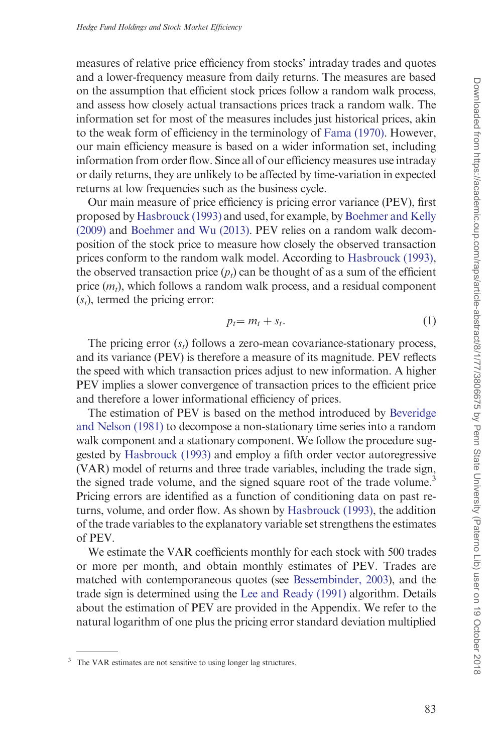measures of relative price efficiency from stocks' intraday trades and quotes and a lower-frequency measure from daily returns. The measures are based on the assumption that efficient stock prices follow a random walk process, and assess how closely actual transactions prices track a random walk. The information set for most of the measures includes just historical prices, akin to the weak form of efficiency in the terminology of [Fama \(1970\)](#page-38-0). However, our main efficiency measure is based on a wider information set, including information from order flow. Since all of our efficiency measures use intraday or daily returns, they are unlikely to be affected by time-variation in expected returns at low frequencies such as the business cycle.

Our main measure of price efficiency is pricing error variance (PEV), first proposed by [Hasbrouck \(1993\)](#page-38-0) and used, for example, by [Boehmer and Kelly](#page-37-0) [\(2009\)](#page-37-0) and [Boehmer and Wu \(2013\).](#page-37-0) PEV relies on a random walk decomposition of the stock price to measure how closely the observed transaction prices conform to the random walk model. According to [Hasbrouck \(1993\)](#page-38-0), the observed transaction price  $(p<sub>t</sub>)$  can be thought of as a sum of the efficient price  $(m_t)$ , which follows a random walk process, and a residual component  $(s<sub>t</sub>)$ , termed the pricing error:

$$
p_t = m_t + s_t. \tag{1}
$$

The pricing error  $(s_t)$  follows a zero-mean covariance-stationary process, and its variance (PEV) is therefore a measure of its magnitude. PEV reflects the speed with which transaction prices adjust to new information. A higher PEV implies a slower convergence of transaction prices to the efficient price and therefore a lower informational efficiency of prices.

The estimation of PEV is based on the method introduced by [Beveridge](#page-37-0) [and Nelson \(1981\)](#page-37-0) to decompose a non-stationary time series into a random walk component and a stationary component. We follow the procedure suggested by [Hasbrouck \(1993\)](#page-38-0) and employ a fifth order vector autoregressive (VAR) model of returns and three trade variables, including the trade sign, the signed trade volume, and the signed square root of the trade volume.<sup>3</sup> Pricing errors are identified as a function of conditioning data on past returns, volume, and order flow. As shown by [Hasbrouck \(1993\)](#page-38-0), the addition of the trade variables to the explanatory variable set strengthens the estimates of PEV.

We estimate the VAR coefficients monthly for each stock with 500 trades or more per month, and obtain monthly estimates of PEV. Trades are matched with contemporaneous quotes (see [Bessembinder, 2003\)](#page-37-0), and the trade sign is determined using the [Lee and Ready \(1991\)](#page-39-0) algorithm. Details about the estimation of PEV are provided in the Appendix. We refer to the natural logarithm of one plus the pricing error standard deviation multiplied

The VAR estimates are not sensitive to using longer lag structures.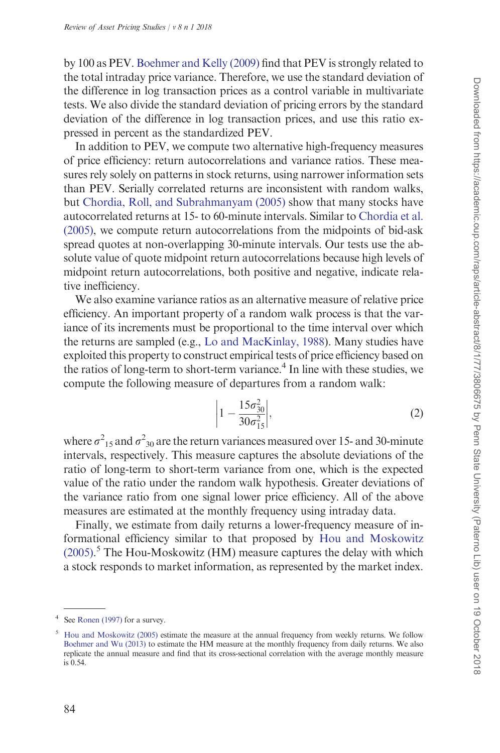by 100 as PEV. [Boehmer and Kelly \(2009\)](#page-37-0) find that PEV is strongly related to the total intraday price variance. Therefore, we use the standard deviation of the difference in log transaction prices as a control variable in multivariate tests. We also divide the standard deviation of pricing errors by the standard deviation of the difference in log transaction prices, and use this ratio expressed in percent as the standardized PEV.

In addition to PEV, we compute two alternative high-frequency measures of price efficiency: return autocorrelations and variance ratios. These measures rely solely on patterns in stock returns, using narrower information sets than PEV. Serially correlated returns are inconsistent with random walks, but [Chordia, Roll, and Subrahmanyam \(2005\)](#page-38-0) show that many stocks have autocorrelated returns at 15- to 60-minute intervals. Similar to [Chordia et al.](#page-38-0) [\(2005\)](#page-38-0), we compute return autocorrelations from the midpoints of bid-ask spread quotes at non-overlapping 30-minute intervals. Our tests use the absolute value of quote midpoint return autocorrelations because high levels of midpoint return autocorrelations, both positive and negative, indicate relative inefficiency.

We also examine variance ratios as an alternative measure of relative price efficiency. An important property of a random walk process is that the variance of its increments must be proportional to the time interval over which the returns are sampled (e.g., [Lo and MacKinlay, 1988\)](#page-39-0). Many studies have exploited this property to construct empirical tests of price efficiency based on the ratios of long-term to short-term variance.<sup>4</sup> In line with these studies, we compute the following measure of departures from a random walk:

$$
\left|1 - \frac{15\sigma_{30}^2}{30\sigma_{15}^2}\right|,\tag{2}
$$

where  $\sigma^2_{15}$  and  $\sigma^2_{30}$  are the return variances measured over 15- and 30-minute intervals, respectively. This measure captures the absolute deviations of the ratio of long-term to short-term variance from one, which is the expected value of the ratio under the random walk hypothesis. Greater deviations of the variance ratio from one signal lower price efficiency. All of the above measures are estimated at the monthly frequency using intraday data.

Finally, we estimate from daily returns a lower-frequency measure of informational efficiency similar to that proposed by [Hou and Moskowitz](#page-39-0) [\(2005\)](#page-39-0). <sup>5</sup> The Hou-Moskowitz (HM) measure captures the delay with which a stock responds to market information, as represented by the market index.

See [Ronen \(1997\)](#page-39-0) for a survey.

<sup>&</sup>lt;sup>5</sup> [Hou and Moskowitz \(2005\)](#page-39-0) estimate the measure at the annual frequency from weekly returns. We follow [Boehmer and Wu \(2013\)](#page-37-0) to estimate the HM measure at the monthly frequency from daily returns. We also replicate the annual measure and find that its cross-sectional correlation with the average monthly measure is 0.54.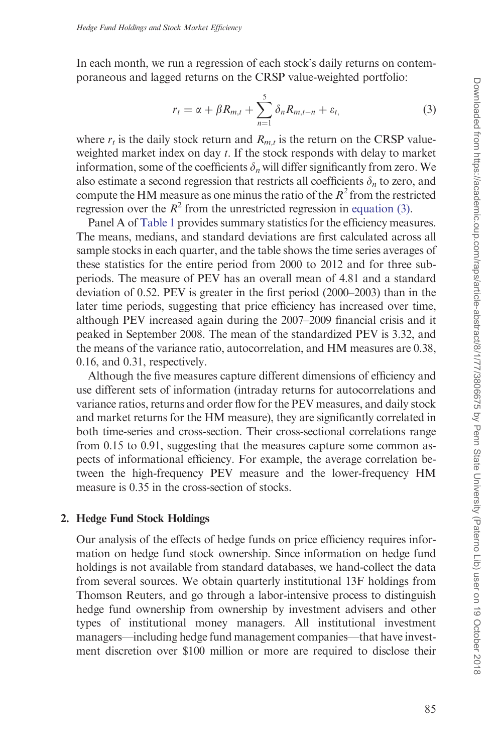In each month, we run a regression of each stock's daily returns on contemporaneous and lagged returns on the CRSP value-weighted portfolio:

$$
r_t = \alpha + \beta R_{m,t} + \sum_{n=1}^5 \delta_n R_{m,t-n} + \varepsilon_{t,}
$$
 (3)

where  $r_t$  is the daily stock return and  $R_{m,t}$  is the return on the CRSP valueweighted market index on day  $t$ . If the stock responds with delay to market information, some of the coefficients  $\delta_n$  will differ significantly from zero. We also estimate a second regression that restricts all coefficients  $\delta_n$  to zero, and compute the HM measure as one minus the ratio of the  $R^2$  from the restricted regression over the  $R^2$  from the unrestricted regression in equation (3).

Panel A of [Table 1](#page-9-0) provides summary statistics for the efficiency measures. The means, medians, and standard deviations are first calculated across all sample stocks in each quarter, and the table shows the time series averages of these statistics for the entire period from 2000 to 2012 and for three subperiods. The measure of PEV has an overall mean of 4.81 and a standard deviation of 0.52. PEV is greater in the first period (2000–2003) than in the later time periods, suggesting that price efficiency has increased over time, although PEV increased again during the 2007–2009 financial crisis and it peaked in September 2008. The mean of the standardized PEV is 3.32, and the means of the variance ratio, autocorrelation, and HM measures are 0.38, 0.16, and 0.31, respectively.

Although the five measures capture different dimensions of efficiency and use different sets of information (intraday returns for autocorrelations and variance ratios, returns and order flow for the PEV measures, and daily stock and market returns for the HM measure), they are significantly correlated in both time-series and cross-section. Their cross-sectional correlations range from 0.15 to 0.91, suggesting that the measures capture some common aspects of informational efficiency. For example, the average correlation between the high-frequency PEV measure and the lower-frequency HM measure is 0.35 in the cross-section of stocks.

# 2. Hedge Fund Stock Holdings

Our analysis of the effects of hedge funds on price efficiency requires information on hedge fund stock ownership. Since information on hedge fund holdings is not available from standard databases, we hand-collect the data from several sources. We obtain quarterly institutional 13F holdings from Thomson Reuters, and go through a labor-intensive process to distinguish hedge fund ownership from ownership by investment advisers and other types of institutional money managers. All institutional investment managers—including hedge fund management companies—that have investment discretion over \$100 million or more are required to disclose their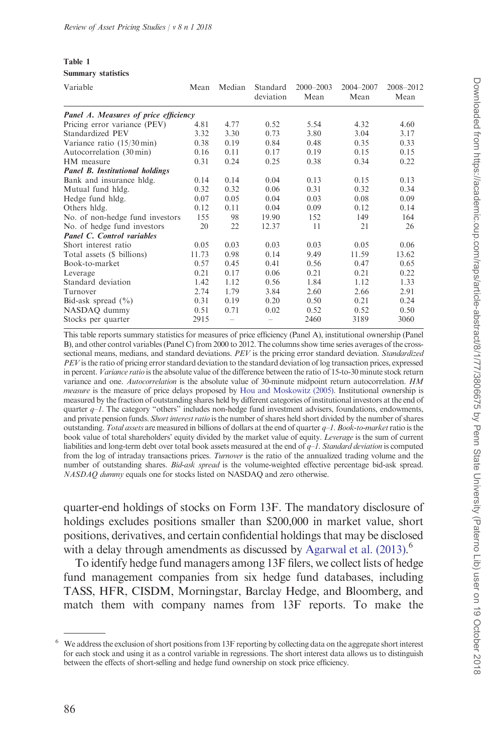#### <span id="page-9-0"></span>Table 1

### Summary statistics

| Variable                               | Mean  | Median | Standard<br>deviation | $2000 - 2003$<br>Mean | 2004-2007<br>Mean | 2008-2012<br>Mean |
|----------------------------------------|-------|--------|-----------------------|-----------------------|-------------------|-------------------|
| Panel A. Measures of price efficiency  |       |        |                       |                       |                   |                   |
| Pricing error variance (PEV)           | 4.81  | 4.77   | 0.52                  | 5.54                  | 4.32              | 4.60              |
| Standardized PEV                       | 3.32  | 3.30   | 0.73                  | 3.80                  | 3.04              | 3.17              |
| Variance ratio $(15/30 \text{ min})$   | 0.38  | 0.19   | 0.84                  | 0.48                  | 0.35              | 0.33              |
| Autocorrelation (30 min)               | 0.16  | 0.11   | 0.17                  | 0.19                  | 0.15              | 0.15              |
| HM measure                             | 0.31  | 0.24   | 0.25                  | 0.38                  | 0.34              | 0.22              |
| <b>Panel B. Institutional holdings</b> |       |        |                       |                       |                   |                   |
| Bank and insurance hldg.               | 0.14  | 0.14   | 0.04                  | 0.13                  | 0.15              | 0.13              |
| Mutual fund hldg.                      | 0.32  | 0.32   | 0.06                  | 0.31                  | 0.32              | 0.34              |
| Hedge fund hldg.                       | 0.07  | 0.05   | 0.04                  | 0.03                  | 0.08              | 0.09              |
| Others hldg.                           | 0.12  | 0.11   | 0.04                  | 0.09                  | 0.12              | 0.14              |
| No. of non-hedge fund investors        | 155   | 98     | 19.90                 | 152                   | 149               | 164               |
| No. of hedge fund investors            | 20    | 22     | 12.37                 | 11                    | 21                | 26                |
| Panel C. Control variables             |       |        |                       |                       |                   |                   |
| Short interest ratio                   | 0.05  | 0.03   | 0.03                  | 0.03                  | 0.05              | 0.06              |
| Total assets (\$ billions)             | 11.73 | 0.98   | 0.14                  | 9.49                  | 11.59             | 13.62             |
| Book-to-market                         | 0.57  | 0.45   | 0.41                  | 0.56                  | 0.47              | 0.65              |
| Leverage                               | 0.21  | 0.17   | 0.06                  | 0.21                  | 0.21              | 0.22              |
| Standard deviation                     | 1.42  | 1.12   | 0.56                  | 1.84                  | 1.12              | 1.33              |
| Turnover                               | 2.74  | 1.79   | 3.84                  | 2.60                  | 2.66              | 2.91              |
| Bid-ask spread $(\% )$                 | 0.31  | 0.19   | 0.20                  | 0.50                  | 0.21              | 0.24              |
| NASDAQ dummy                           | 0.51  | 0.71   | 0.02                  | 0.52                  | 0.52              | 0.50              |
| Stocks per quarter                     | 2915  |        |                       | 2460                  | 3189              | 3060              |

This table reports summary statistics for measures of price efficiency (Panel A), institutional ownership (Panel B), and other control variables (Panel C) from 2000 to 2012. The columns show time series averages of the crosssectional means, medians, and standard deviations. PEV is the pricing error standard deviation. Standardized PEV is the ratio of pricing error standard deviation to the standard deviation of log transaction prices, expressed in percent. Variance ratio is the absolute value of the difference between the ratio of 15-to-30 minute stock return variance and one. Autocorrelation is the absolute value of 30-minute midpoint return autocorrelation. HM measure is the measure of price delays proposed by [Hou and Moskowitz \(2005\).](#page-39-0) Institutional ownership is measured by the fraction of outstanding shares held by different categories of institutional investors at the end of quarter  $q-1$ . The category "others" includes non-hedge fund investment advisers, foundations, endowments, and private pension funds. Short interest ratio is the number of shares held short divided by the number of shares outstanding. Total assets are measured in billions of dollars at the end of quarter  $q-1$ . Book-to-market ratio is the book value of total shareholders' equity divided by the market value of equity. Leverage is the sum of current liabilities and long-term debt over total book assets measured at the end of  $q-1$ . Standard deviation is computed from the log of intraday transactions prices. Turnover is the ratio of the annualized trading volume and the number of outstanding shares. Bid-ask spread is the volume-weighted effective percentage bid-ask spread. NASDAQ dummy equals one for stocks listed on NASDAQ and zero otherwise.

quarter-end holdings of stocks on Form 13F. The mandatory disclosure of holdings excludes positions smaller than \$200,000 in market value, short positions, derivatives, and certain confidential holdings that may be disclosed with a delay through amendments as discussed by [Agarwal et al. \(2013\).](#page-37-0)<sup>6</sup>

To identify hedge fund managers among 13F filers, we collect lists of hedge fund management companies from six hedge fund databases, including TASS, HFR, CISDM, Morningstar, Barclay Hedge, and Bloomberg, and match them with company names from 13F reports. To make the

We address the exclusion of short positions from 13F reporting by collecting data on the aggregate short interest for each stock and using it as a control variable in regressions. The short interest data allows us to distinguish between the effects of short-selling and hedge fund ownership on stock price efficiency.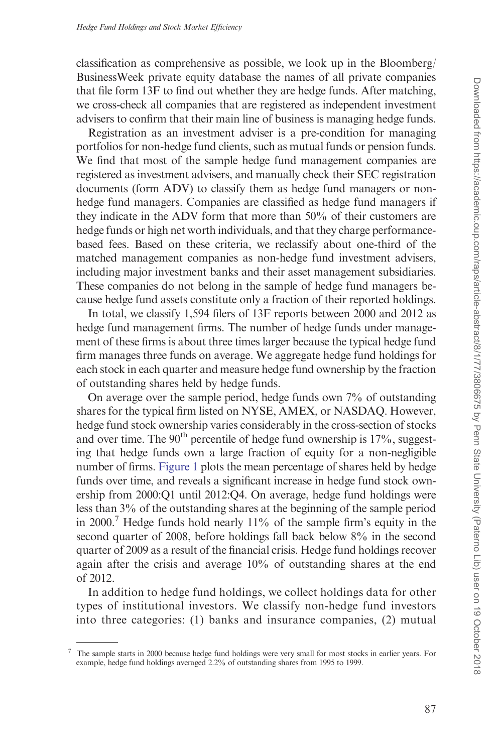classification as comprehensive as possible, we look up in the Bloomberg/ BusinessWeek private equity database the names of all private companies that file form 13F to find out whether they are hedge funds. After matching, we cross-check all companies that are registered as independent investment advisers to confirm that their main line of business is managing hedge funds.

Registration as an investment adviser is a pre-condition for managing portfolios for non-hedge fund clients, such as mutual funds or pension funds. We find that most of the sample hedge fund management companies are registered as investment advisers, and manually check their SEC registration documents (form ADV) to classify them as hedge fund managers or nonhedge fund managers. Companies are classified as hedge fund managers if they indicate in the ADV form that more than 50% of their customers are hedge funds or high net worth individuals, and that they charge performancebased fees. Based on these criteria, we reclassify about one-third of the matched management companies as non-hedge fund investment advisers, including major investment banks and their asset management subsidiaries. These companies do not belong in the sample of hedge fund managers because hedge fund assets constitute only a fraction of their reported holdings.

In total, we classify 1,594 filers of 13F reports between 2000 and 2012 as hedge fund management firms. The number of hedge funds under management of these firms is about three times larger because the typical hedge fund firm manages three funds on average. We aggregate hedge fund holdings for each stock in each quarter and measure hedge fund ownership by the fraction of outstanding shares held by hedge funds.

On average over the sample period, hedge funds own 7% of outstanding shares for the typical firm listed on NYSE, AMEX, or NASDAQ. However, hedge fund stock ownership varies considerably in the cross-section of stocks and over time. The 90<sup>th</sup> percentile of hedge fund ownership is 17%, suggesting that hedge funds own a large fraction of equity for a non-negligible number of firms. [Figure 1](#page-11-0) plots the mean percentage of shares held by hedge funds over time, and reveals a significant increase in hedge fund stock ownership from 2000:Q1 until 2012:Q4. On average, hedge fund holdings were less than 3% of the outstanding shares at the beginning of the sample period in 2000.<sup>7</sup> Hedge funds hold nearly  $11\%$  of the sample firm's equity in the second quarter of 2008, before holdings fall back below 8% in the second quarter of 2009 as a result of the financial crisis. Hedge fund holdings recover again after the crisis and average 10% of outstanding shares at the end of 2012.

In addition to hedge fund holdings, we collect holdings data for other types of institutional investors. We classify non-hedge fund investors into three categories: (1) banks and insurance companies, (2) mutual

<sup>7</sup> The sample starts in 2000 because hedge fund holdings were very small for most stocks in earlier years. For example, hedge fund holdings averaged 2.2% of outstanding shares from 1995 to 1999.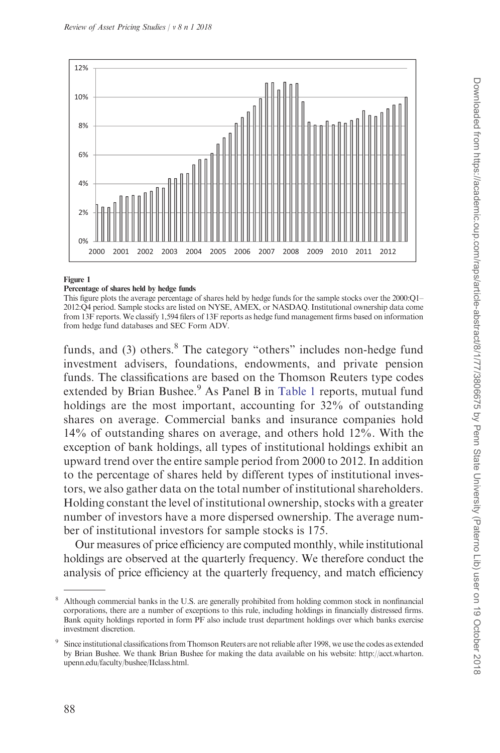<span id="page-11-0"></span>

#### Figure 1

#### Percentage of shares held by hedge funds

This figure plots the average percentage of shares held by hedge funds for the sample stocks over the 2000:Q1– 2012:Q4 period. Sample stocks are listed on NYSE, AMEX, or NASDAQ. Institutional ownership data come from 13F reports. We classify 1,594 filers of 13F reports as hedge fund management firms based on information from hedge fund databases and SEC Form ADV.

funds, and (3) others.<sup>8</sup> The category "others" includes non-hedge fund investment advisers, foundations, endowments, and private pension funds. The classifications are based on the Thomson Reuters type codes extended by Brian Bushee.<sup>9</sup> As Panel B in [Table 1](#page-9-0) reports, mutual fund holdings are the most important, accounting for 32% of outstanding shares on average. Commercial banks and insurance companies hold 14% of outstanding shares on average, and others hold 12%. With the exception of bank holdings, all types of institutional holdings exhibit an upward trend over the entire sample period from 2000 to 2012. In addition to the percentage of shares held by different types of institutional investors, we also gather data on the total number of institutional shareholders. Holding constant the level of institutional ownership, stocks with a greater number of investors have a more dispersed ownership. The average number of institutional investors for sample stocks is 175.

Our measures of price efficiency are computed monthly, while institutional holdings are observed at the quarterly frequency. We therefore conduct the analysis of price efficiency at the quarterly frequency, and match efficiency

<sup>8</sup> Although commercial banks in the U.S. are generally prohibited from holding common stock in nonfinancial corporations, there are a number of exceptions to this rule, including holdings in financially distressed firms. Bank equity holdings reported in form PF also include trust department holdings over which banks exercise investment discretion.

Since institutional classifications from Thomson Reuters are not reliable after 1998, we use the codes as extended by Brian Bushee. We thank Brian Bushee for making the data available on his website: [http://acct.wharton.](http://acct.wharton.upenn.edu/faculty/bushee/IIclass.html) [upenn.edu/faculty/bushee/IIclass.html](http://acct.wharton.upenn.edu/faculty/bushee/IIclass.html).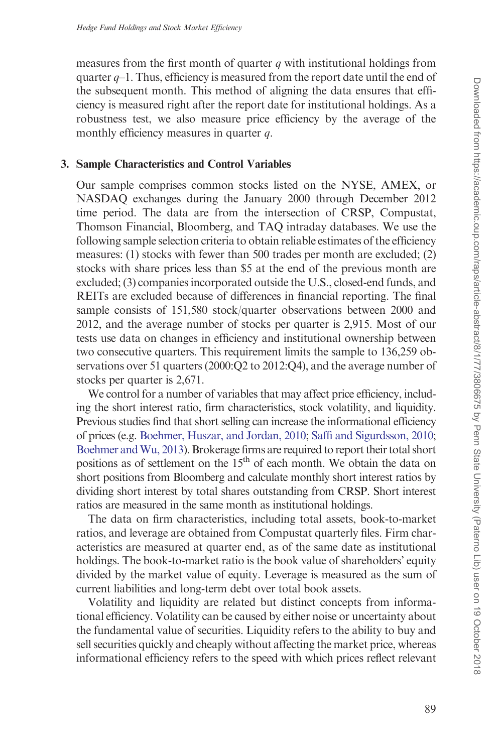measures from the first month of quarter  $q$  with institutional holdings from quarter  $q-1$ . Thus, efficiency is measured from the report date until the end of the subsequent month. This method of aligning the data ensures that efficiency is measured right after the report date for institutional holdings. As a robustness test, we also measure price efficiency by the average of the monthly efficiency measures in quarter q.

### 3. Sample Characteristics and Control Variables

Our sample comprises common stocks listed on the NYSE, AMEX, or NASDAQ exchanges during the January 2000 through December 2012 time period. The data are from the intersection of CRSP, Compustat, Thomson Financial, Bloomberg, and TAQ intraday databases. We use the following sample selection criteria to obtain reliable estimates of the efficiency measures: (1) stocks with fewer than 500 trades per month are excluded; (2) stocks with share prices less than \$5 at the end of the previous month are excluded; (3) companies incorporated outside the U.S., closed-end funds, and REITs are excluded because of differences in financial reporting. The final sample consists of 151,580 stock/quarter observations between 2000 and 2012, and the average number of stocks per quarter is 2,915. Most of our tests use data on changes in efficiency and institutional ownership between two consecutive quarters. This requirement limits the sample to 136,259 observations over 51 quarters (2000:Q2 to 2012:Q4), and the average number of stocks per quarter is 2,671.

We control for a number of variables that may affect price efficiency, including the short interest ratio, firm characteristics, stock volatility, and liquidity. Previous studies find that short selling can increase the informational efficiency of prices (e.g. [Boehmer, Huszar, and Jordan, 2010;](#page-37-0) [Saffi and Sigurdsson, 2010](#page-39-0); Boehmer and Wu, 2013). Brokerage firms are required to report their total short positions as of settlement on the  $15<sup>th</sup>$  of each month. We obtain the data on short positions from Bloomberg and calculate monthly short interest ratios by dividing short interest by total shares outstanding from CRSP. Short interest ratios are measured in the same month as institutional holdings.

The data on firm characteristics, including total assets, book-to-market ratios, and leverage are obtained from Compustat quarterly files. Firm characteristics are measured at quarter end, as of the same date as institutional holdings. The book-to-market ratio is the book value of shareholders' equity divided by the market value of equity. Leverage is measured as the sum of current liabilities and long-term debt over total book assets.

Volatility and liquidity are related but distinct concepts from informational efficiency. Volatility can be caused by either noise or uncertainty about the fundamental value of securities. Liquidity refers to the ability to buy and sell securities quickly and cheaply without affecting the market price, whereas informational efficiency refers to the speed with which prices reflect relevant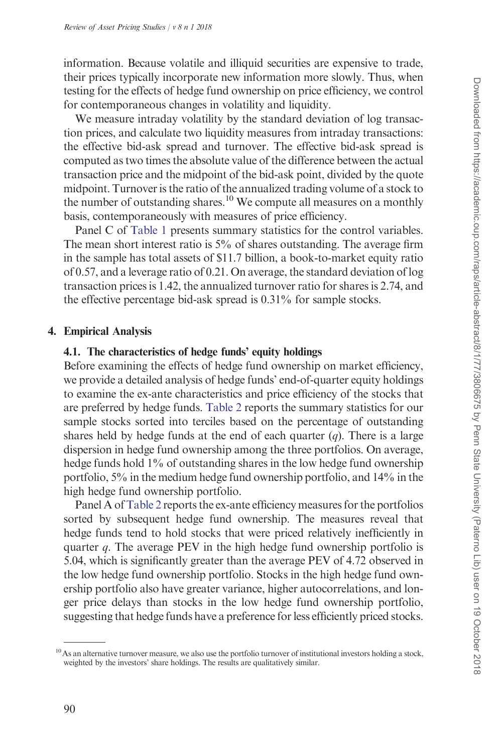information. Because volatile and illiquid securities are expensive to trade, their prices typically incorporate new information more slowly. Thus, when testing for the effects of hedge fund ownership on price efficiency, we control for contemporaneous changes in volatility and liquidity.

We measure intraday volatility by the standard deviation of log transaction prices, and calculate two liquidity measures from intraday transactions: the effective bid-ask spread and turnover. The effective bid-ask spread is computed as two times the absolute value of the difference between the actual transaction price and the midpoint of the bid-ask point, divided by the quote midpoint. Turnover is the ratio of the annualized trading volume of a stock to the number of outstanding shares.<sup>10</sup> We compute all measures on a monthly basis, contemporaneously with measures of price efficiency.

Panel C of [Table 1](#page-9-0) presents summary statistics for the control variables. The mean short interest ratio is 5% of shares outstanding. The average firm in the sample has total assets of \$11.7 billion, a book-to-market equity ratio of 0.57, and a leverage ratio of 0.21. On average, the standard deviation of log transaction prices is 1.42, the annualized turnover ratio for shares is 2.74, and the effective percentage bid-ask spread is 0.31% for sample stocks.

# 4. Empirical Analysis

# 4.1. The characteristics of hedge funds' equity holdings

Before examining the effects of hedge fund ownership on market efficiency, we provide a detailed analysis of hedge funds' end-of-quarter equity holdings to examine the ex-ante characteristics and price efficiency of the stocks that are preferred by hedge funds. [Table 2](#page-14-0) reports the summary statistics for our sample stocks sorted into terciles based on the percentage of outstanding shares held by hedge funds at the end of each quarter  $(q)$ . There is a large dispersion in hedge fund ownership among the three portfolios. On average, hedge funds hold 1% of outstanding shares in the low hedge fund ownership portfolio, 5% in the medium hedge fund ownership portfolio, and 14% in the high hedge fund ownership portfolio.

Panel A of [Table 2](#page-14-0) reports the ex-ante efficiency measures for the portfolios sorted by subsequent hedge fund ownership. The measures reveal that hedge funds tend to hold stocks that were priced relatively inefficiently in quarter  $q$ . The average PEV in the high hedge fund ownership portfolio is 5.04, which is significantly greater than the average PEV of 4.72 observed in the low hedge fund ownership portfolio. Stocks in the high hedge fund ownership portfolio also have greater variance, higher autocorrelations, and longer price delays than stocks in the low hedge fund ownership portfolio, suggesting that hedge funds have a preference for less efficiently priced stocks.

<sup>&</sup>lt;sup>10</sup>As an alternative turnover measure, we also use the portfolio turnover of institutional investors holding a stock, weighted by the investors' share holdings. The results are qualitatively similar.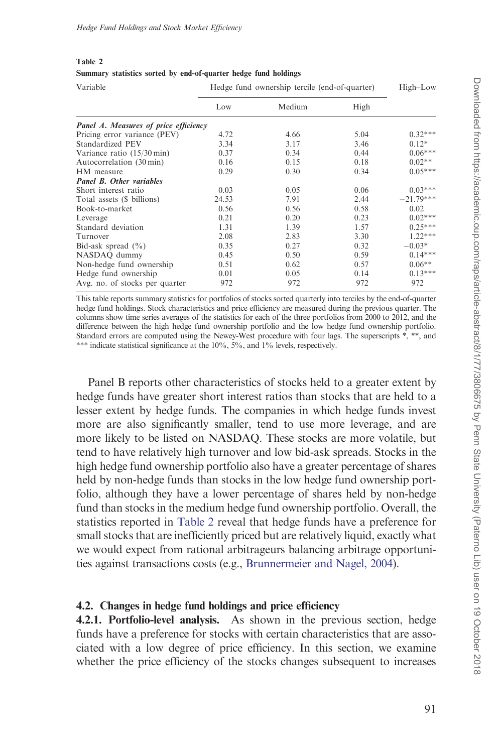<span id="page-14-0"></span>

| Table 2  |                                                                 |
|----------|-----------------------------------------------------------------|
|          | Summary statistics sorted by end-of-quarter hedge fund holdings |
| Variable | Hedge fund ownership tercile                                    |

| Variable                                     |       | Hedge fund ownership tercile (end-of-quarter) |      | High-Low    |
|----------------------------------------------|-------|-----------------------------------------------|------|-------------|
|                                              | Low   | Medium                                        | High |             |
| <b>Panel A. Measures of price efficiency</b> |       |                                               |      |             |
| Pricing error variance (PEV)                 | 4.72  | 4.66                                          | 5.04 | $0.32***$   |
| Standardized PEV                             | 3.34  | 3.17                                          | 3.46 | $0.12*$     |
| Variance ratio $(15/30 \text{ min})$         | 0.37  | 0.34                                          | 0.44 | $0.06***$   |
| Autocorrelation (30 min)                     | 0.16  | 0.15                                          | 0.18 | $0.02**$    |
| HM measure                                   | 0.29  | 0.30                                          | 0.34 | $0.05***$   |
| <b>Panel B. Other variables</b>              |       |                                               |      |             |
| Short interest ratio                         | 0.03  | 0.05                                          | 0.06 | $0.03***$   |
| Total assets (\$ billions)                   | 24.53 | 7.91                                          | 2.44 | $-21.79***$ |
| Book-to-market                               | 0.56  | 0.56                                          | 0.58 | 0.02        |
| Leverage                                     | 0.21  | 0.20                                          | 0.23 | $0.02***$   |
| Standard deviation                           | 1.31  | 1.39                                          | 1.57 | $0.25***$   |
| Turnover                                     | 2.08  | 2.83                                          | 3.30 | $1.22***$   |
| Bid-ask spread $(\% )$                       | 0.35  | 0.27                                          | 0.32 | $-0.03*$    |
| NASDAQ dummy                                 | 0.45  | 0.50                                          | 0.59 | $0.14***$   |
| Non-hedge fund ownership                     | 0.51  | 0.62                                          | 0.57 | $0.06**$    |
| Hedge fund ownership                         | 0.01  | 0.05                                          | 0.14 | $0.13***$   |
| Avg. no. of stocks per quarter               | 972   | 972                                           | 972  | 972         |

This table reports summary statistics for portfolios of stocks sorted quarterly into terciles by the end-of-quarter hedge fund holdings. Stock characteristics and price efficiency are measured during the previous quarter. The columns show time series averages of the statistics for each of the three portfolios from 2000 to 2012, and the difference between the high hedge fund ownership portfolio and the low hedge fund ownership portfolio. Standard errors are computed using the Newey-West procedure with four lags. The superscripts \*, \*\*, and \*\*\* indicate statistical significance at the 10%, 5%, and 1% levels, respectively.

Panel B reports other characteristics of stocks held to a greater extent by hedge funds have greater short interest ratios than stocks that are held to a lesser extent by hedge funds. The companies in which hedge funds invest more are also significantly smaller, tend to use more leverage, and are more likely to be listed on NASDAQ. These stocks are more volatile, but tend to have relatively high turnover and low bid-ask spreads. Stocks in the high hedge fund ownership portfolio also have a greater percentage of shares held by non-hedge funds than stocks in the low hedge fund ownership portfolio, although they have a lower percentage of shares held by non-hedge fund than stocks in the medium hedge fund ownership portfolio. Overall, the statistics reported in Table 2 reveal that hedge funds have a preference for small stocks that are inefficiently priced but are relatively liquid, exactly what we would expect from rational arbitrageurs balancing arbitrage opportunities against transactions costs (e.g., [Brunnermeier and Nagel, 2004](#page-38-0)).

# 4.2. Changes in hedge fund holdings and price efficiency

4.2.1. Portfolio-level analysis. As shown in the previous section, hedge funds have a preference for stocks with certain characteristics that are associated with a low degree of price efficiency. In this section, we examine whether the price efficiency of the stocks changes subsequent to increases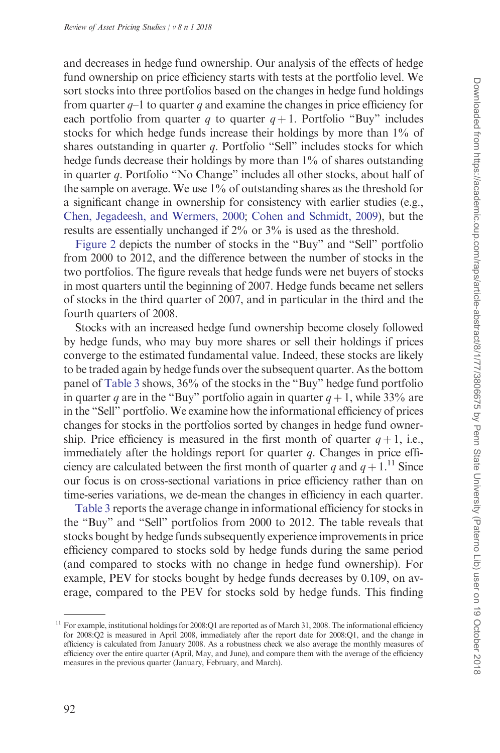and decreases in hedge fund ownership. Our analysis of the effects of hedge fund ownership on price efficiency starts with tests at the portfolio level. We sort stocks into three portfolios based on the changes in hedge fund holdings from quarter  $q-1$  to quarter q and examine the changes in price efficiency for each portfolio from quarter q to quarter  $q+1$ . Portfolio "Buy" includes stocks for which hedge funds increase their holdings by more than 1% of shares outstanding in quarter  $q$ . Portfolio "Sell" includes stocks for which hedge funds decrease their holdings by more than 1% of shares outstanding in quarter q. Portfolio "No Change" includes all other stocks, about half of the sample on average. We use 1% of outstanding shares as the threshold for a significant change in ownership for consistency with earlier studies (e.g., [Chen, Jegadeesh, and Wermers, 2000;](#page-38-0) [Cohen and Schmidt, 2009\)](#page-38-0), but the results are essentially unchanged if 2% or 3% is used as the threshold.

[Figure 2](#page-16-0) depicts the number of stocks in the "Buy" and "Sell" portfolio from 2000 to 2012, and the difference between the number of stocks in the two portfolios. The figure reveals that hedge funds were net buyers of stocks in most quarters until the beginning of 2007. Hedge funds became net sellers of stocks in the third quarter of 2007, and in particular in the third and the fourth quarters of 2008.

Stocks with an increased hedge fund ownership become closely followed by hedge funds, who may buy more shares or sell their holdings if prices converge to the estimated fundamental value. Indeed, these stocks are likely to be traded again by hedge funds over the subsequent quarter. As the bottom panel of [Table 3](#page-16-0) shows, 36% of the stocks in the "Buy" hedge fund portfolio in quarter q are in the "Buy" portfolio again in quarter  $q+1$ , while 33% are in the "Sell" portfolio. We examine how the informational efficiency of prices changes for stocks in the portfolios sorted by changes in hedge fund ownership. Price efficiency is measured in the first month of quarter  $q+1$ , i.e., immediately after the holdings report for quarter  $q$ . Changes in price efficiency are calculated between the first month of quarter q and  $q+1$ .<sup>11</sup> Since our focus is on cross-sectional variations in price efficiency rather than on time-series variations, we de-mean the changes in efficiency in each quarter.

[Table 3](#page-16-0) reports the average change in informational efficiency for stocks in the "Buy" and "Sell" portfolios from 2000 to 2012. The table reveals that stocks bought by hedge funds subsequently experience improvements in price efficiency compared to stocks sold by hedge funds during the same period (and compared to stocks with no change in hedge fund ownership). For example, PEV for stocks bought by hedge funds decreases by 0.109, on average, compared to the PEV for stocks sold by hedge funds. This finding

<sup>&</sup>lt;sup>11</sup> For example, institutional holdings for 2008:Q1 are reported as of March 31, 2008. The informational efficiency for 2008:Q2 is measured in April 2008, immediately after the report date for 2008:Q1, and the change in efficiency is calculated from January 2008. As a robustness check we also average the monthly measures of efficiency over the entire quarter (April, May, and June), and compare them with the average of the efficiency measures in the previous quarter (January, February, and March).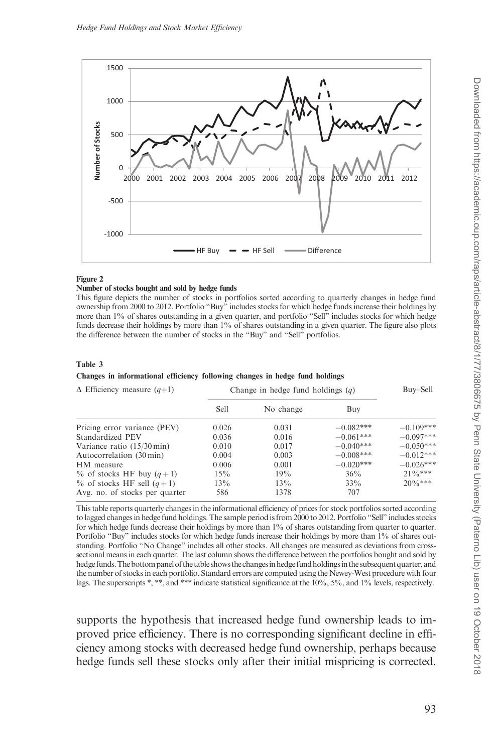<span id="page-16-0"></span>

#### Figure 2

#### Number of stocks bought and sold by hedge funds

This figure depicts the number of stocks in portfolios sorted according to quarterly changes in hedge fund ownership from 2000 to 2012. Portfolio "Buy" includes stocks for which hedge funds increase their holdings by more than 1% of shares outstanding in a given quarter, and portfolio "Sell" includes stocks for which hedge funds decrease their holdings by more than 1% of shares outstanding in a given quarter. The figure also plots the difference between the number of stocks in the "Buy" and "Sell" portfolios.

#### Table 3

| $\Delta$ Efficiency measure $(q+1)$  | Change in hedge fund holdings $(q)$ |           |             | Buy–Sell            |
|--------------------------------------|-------------------------------------|-----------|-------------|---------------------|
|                                      | Sell                                | No change | Buy         |                     |
| Pricing error variance (PEV)         | 0.026                               | 0.031     | $-0.082***$ | $-0.109***$         |
| Standardized PEV                     | 0.036                               | 0.016     | $-0.061***$ | $-0.097***$         |
| Variance ratio $(15/30 \text{ min})$ | 0.010                               | 0.017     | $-0.040***$ | $-0.050***$         |
| Autocorrelation (30 min)             | 0.004                               | 0.003     | $-0.008***$ | $-0.012***$         |
| HM measure                           | 0.006                               | 0.001     | $-0.020***$ | $-0.026***$         |
| $\%$ of stocks HF buy $(q+1)$        | 15%                                 | 19%       | 36%         | $21\frac{0}{6}$ *** |
| $\%$ of stocks HF sell $(q+1)$       | 13%                                 | 13%       | 33%         | $20\%***$           |
| Avg. no. of stocks per quarter       | 586                                 | 1378      | 707         |                     |

This table reports quarterly changes in the informational efficiency of prices for stock portfolios sorted according to lagged changes in hedge fund holdings. The sample period is from 2000 to 2012. Portfolio "Sell" includes stocks for which hedge funds decrease their holdings by more than 1% of shares outstanding from quarter to quarter. Portfolio "Buy" includes stocks for which hedge funds increase their holdings by more than 1% of shares outstanding. Portfolio "No Change" includes all other stocks. All changes are measured as deviations from crosssectional means in each quarter. The last column shows the difference between the portfolios bought and sold by hedge funds. The bottom panel of the table shows the changes in hedge fund holdings in the subsequent quarter, and the number of stocks in each portfolio. Standard errors are computed using the Newey-West procedure with four lags. The superscripts \*, \*\*, and \*\*\* indicate statistical significance at the 10%, 5%, and 1% levels, respectively.

supports the hypothesis that increased hedge fund ownership leads to improved price efficiency. There is no corresponding significant decline in efficiency among stocks with decreased hedge fund ownership, perhaps because hedge funds sell these stocks only after their initial mispricing is corrected.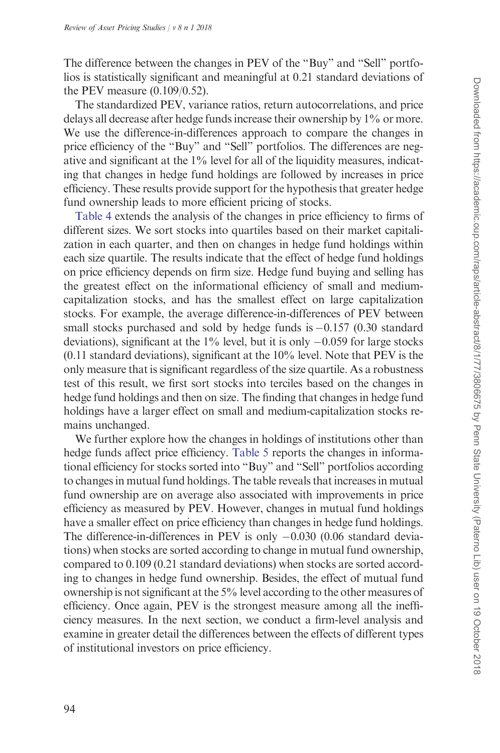The difference between the changes in PEV of the "Buy" and "Sell" portfolios is statistically significant and meaningful at 0.21 standard deviations of the PEV measure (0.109/0.52).

The standardized PEV, variance ratios, return autocorrelations, and price delays all decrease after hedge funds increase their ownership by 1% or more. We use the difference-in-differences approach to compare the changes in price efficiency of the "Buy" and "Sell" portfolios. The differences are negative and significant at the 1% level for all of the liquidity measures, indicating that changes in hedge fund holdings are followed by increases in price efficiency. These results provide support for the hypothesis that greater hedge fund ownership leads to more efficient pricing of stocks.

[Table 4](#page-18-0) extends the analysis of the changes in price efficiency to firms of different sizes. We sort stocks into quartiles based on their market capitalization in each quarter, and then on changes in hedge fund holdings within each size quartile. The results indicate that the effect of hedge fund holdings on price efficiency depends on firm size. Hedge fund buying and selling has the greatest effect on the informational efficiency of small and mediumcapitalization stocks, and has the smallest effect on large capitalization stocks. For example, the average difference-in-differences of PEV between small stocks purchased and sold by hedge funds is-0.157 (0.30 standard deviations), significant at the  $1\%$  level, but it is only  $-0.059$  for large stocks (0.11 standard deviations), significant at the 10% level. Note that PEV is the only measure that is significant regardless of the size quartile. As a robustness test of this result, we first sort stocks into terciles based on the changes in hedge fund holdings and then on size. The finding that changes in hedge fund holdings have a larger effect on small and medium-capitalization stocks remains unchanged.

We further explore how the changes in holdings of institutions other than hedge funds affect price efficiency. [Table 5](#page-19-0) reports the changes in informational efficiency for stocks sorted into "Buy" and "Sell" portfolios according to changes in mutual fund holdings. The table reveals that increases in mutual fund ownership are on average also associated with improvements in price efficiency as measured by PEV. However, changes in mutual fund holdings have a smaller effect on price efficiency than changes in hedge fund holdings. The difference-in-differences in PEV is only  $-0.030$  (0.06 standard deviations) when stocks are sorted according to change in mutual fund ownership, compared to 0.109 (0.21 standard deviations) when stocks are sorted according to changes in hedge fund ownership. Besides, the effect of mutual fund ownership is not significant at the 5% level according to the other measures of efficiency. Once again, PEV is the strongest measure among all the inefficiency measures. In the next section, we conduct a firm-level analysis and examine in greater detail the differences between the effects of different types of institutional investors on price efficiency.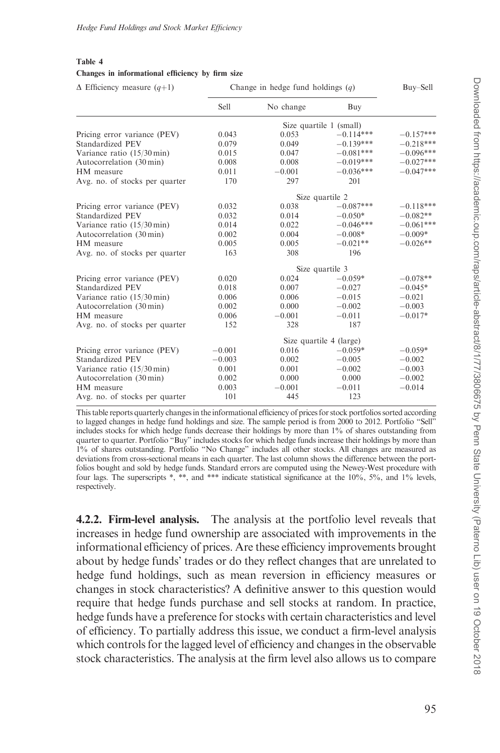# <span id="page-18-0"></span>Table 4 Changes in informational efficiency by firm size

| $\Delta$ Efficiency measure $(q+1)$ |                         | Change in hedge fund holdings $(q)$ |                         |             |
|-------------------------------------|-------------------------|-------------------------------------|-------------------------|-------------|
|                                     | Sell                    | No change                           | Buy                     |             |
|                                     |                         |                                     | Size quartile 1 (small) |             |
| Pricing error variance (PEV)        | 0.043                   | 0.053                               | $-0.114***$             | $-0.157***$ |
| Standardized PEV                    | 0.079                   | 0.049                               | $-0.139***$             | $-0.218***$ |
| Variance ratio (15/30 min)          | 0.015                   | 0.047                               | $-0.081***$             | $-0.096***$ |
| Autocorrelation (30 min)            | 0.008                   | 0.008                               | $-0.019***$             | $-0.027***$ |
| HM measure                          | 0.011                   | $-0.001$                            | $-0.036***$             | $-0.047***$ |
| Avg. no. of stocks per quarter      | 170                     | 297                                 | 201                     |             |
|                                     |                         |                                     | Size quartile 2         |             |
| Pricing error variance (PEV)        | 0.032                   | 0.038                               | $-0.087***$             | $-0.118***$ |
| Standardized PEV                    | 0.032                   | 0.014                               | $-0.050*$               | $-0.082**$  |
| Variance ratio (15/30 min)          | 0.014                   | 0.022                               | $-0.046***$             | $-0.061***$ |
| Autocorrelation (30 min)            | 0.002                   | 0.004                               | $-0.008*$               | $-0.009*$   |
| HM measure                          | 0.005                   | 0.005                               | $-0.021**$              | $-0.026**$  |
| Avg. no. of stocks per quarter      | 163                     | 308                                 | 196                     |             |
|                                     |                         |                                     |                         |             |
| Pricing error variance (PEV)        | 0.020                   | 0.024                               | $-0.059*$               | $-0.078**$  |
| Standardized PEV                    | 0.018                   | 0.007                               | $-0.027$                | $-0.045*$   |
| Variance ratio (15/30 min)          | 0.006                   | 0.006                               | $-0.015$                | $-0.021$    |
| Autocorrelation (30 min)            | 0.002                   | 0.000                               | $-0.002$                | $-0.003$    |
| HM measure                          | 0.006                   | $-0.001$                            | $-0.011$                | $-0.017*$   |
| Avg. no. of stocks per quarter      | 152                     | 328                                 | 187                     |             |
|                                     | Size quartile 4 (large) |                                     |                         |             |
| Pricing error variance (PEV)        | $-0.001$                | 0.016                               | $-0.059*$               | $-0.059*$   |
| Standardized PEV                    | $-0.003$                | 0.002                               | $-0.005$                | $-0.002$    |
| Variance ratio (15/30 min)          | 0.001                   | 0.001                               | $-0.002$                | $-0.003$    |
| Autocorrelation (30 min)            | 0.002                   | 0.000                               | 0.000                   | $-0.002$    |
| HM measure                          | 0.003                   | $-0.001$                            | $-0.011$                | $-0.014$    |
| Avg. no. of stocks per quarter      | 101                     | 445                                 | 123                     |             |

This table reports quarterly changes in the informational efficiency of prices for stock portfolios sorted according to lagged changes in hedge fund holdings and size. The sample period is from 2000 to 2012. Portfolio "Sell" includes stocks for which hedge funds decrease their holdings by more than 1% of shares outstanding from quarter to quarter. Portfolio "Buy" includes stocks for which hedge funds increase their holdings by more than 1% of shares outstanding. Portfolio "No Change" includes all other stocks. All changes are measured as deviations from cross-sectional means in each quarter. The last column shows the difference between the portfolios bought and sold by hedge funds. Standard errors are computed using the Newey-West procedure with four lags. The superscripts \*, \*\*, and \*\*\* indicate statistical significance at the 10%, 5%, and 1% levels, respectively.

4.2.2. Firm-level analysis. The analysis at the portfolio level reveals that increases in hedge fund ownership are associated with improvements in the informational efficiency of prices. Are these efficiency improvements brought about by hedge funds' trades or do they reflect changes that are unrelated to hedge fund holdings, such as mean reversion in efficiency measures or changes in stock characteristics? A definitive answer to this question would require that hedge funds purchase and sell stocks at random. In practice, hedge funds have a preference for stocks with certain characteristics and level of efficiency. To partially address this issue, we conduct a firm-level analysis which controls for the lagged level of efficiency and changes in the observable stock characteristics. The analysis at the firm level also allows us to compare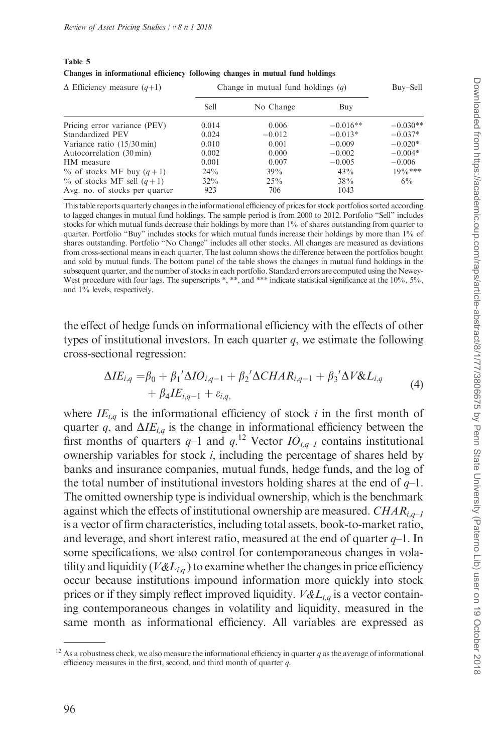<span id="page-19-0"></span>

| Changes in informational efficiency following changes in mutual fund holdings |
|-------------------------------------------------------------------------------|
| Change in mutual fund holdings $(q)$                                          |
|                                                                               |

|                                      |        | $\sim$    |            |            |
|--------------------------------------|--------|-----------|------------|------------|
|                                      | Sell   | No Change | Buy        |            |
| Pricing error variance (PEV)         | 0.014  | 0.006     | $-0.016**$ | $-0.030**$ |
| Standardized PEV                     | 0.024  | $-0.012$  | $-0.013*$  | $-0.037*$  |
| Variance ratio $(15/30 \text{ min})$ | 0.010  | 0.001     | $-0.009$   | $-0.020*$  |
| Autocorrelation (30 min)             | 0.002  | 0.000     | $-0.002$   | $-0.004*$  |
| HM measure                           | 0.001  | 0.007     | $-0.005$   | $-0.006$   |
| $\%$ of stocks MF buy $(q+1)$        | 24%    | 39%       | 43%        | $19%***$   |
| $\%$ of stocks MF sell $(q+1)$       | $32\%$ | 25%       | 38%        | $6\%$      |
| Avg. no. of stocks per quarter       | 923    | 706       | 1043       |            |

This table reports quarterly changes in the informational efficiency of prices for stock portfolios sorted according to lagged changes in mutual fund holdings. The sample period is from 2000 to 2012. Portfolio "Sell" includes stocks for which mutual funds decrease their holdings by more than 1% of shares outstanding from quarter to quarter. Portfolio "Buy" includes stocks for which mutual funds increase their holdings by more than 1% of shares outstanding. Portfolio "No Change" includes all other stocks. All changes are measured as deviations from cross-sectional means in each quarter. The last column shows the difference between the portfolios bought and sold by mutual funds. The bottom panel of the table shows the changes in mutual fund holdings in the subsequent quarter, and the number of stocks in each portfolio. Standard errors are computed using the Newey-West procedure with four lags. The superscripts \*, \*\*, and \*\*\* indicate statistical significance at the 10%, 5%, and 1% levels, respectively.

the effect of hedge funds on informational efficiency with the effects of other types of institutional investors. In each quarter  $q$ , we estimate the following cross-sectional regression:

$$
\Delta IE_{i,q} = \beta_0 + \beta_1' \Delta IO_{i,q-1} + \beta_2' \Delta CHAR_{i,q-1} + \beta_3' \Delta V \& L_{i,q} + \beta_4 IE_{i,q-1} + \varepsilon_{i,q},
$$
\n(4)

where  $IE_{i,q}$  is the informational efficiency of stock i in the first month of quarter q, and  $\Delta I E_{i,q}$  is the change in informational efficiency between the first months of quarters  $q-1$  and  $q$ .<sup>12</sup> Vector  $IO_{i,q-1}$  contains institutional ownership variables for stock  $i$ , including the percentage of shares held by banks and insurance companies, mutual funds, hedge funds, and the log of the total number of institutional investors holding shares at the end of  $q-1$ . The omitted ownership type is individual ownership, which is the benchmark against which the effects of institutional ownership are measured. CHAR<sub>ig–1</sub> is a vector of firm characteristics, including total assets, book-to-market ratio, and leverage, and short interest ratio, measured at the end of quarter  $q-1$ . In some specifications, we also control for contemporaneous changes in volatility and liquidity ( $V\&L_{i,q}$ ) to examine whether the changes in price efficiency occur because institutions impound information more quickly into stock prices or if they simply reflect improved liquidity.  $V\&L_{i,q}$  is a vector containing contemporaneous changes in volatility and liquidity, measured in the same month as informational efficiency. All variables are expressed as

Buy–Sell

<sup>&</sup>lt;sup>12</sup> As a robustness check, we also measure the informational efficiency in quarter q as the average of informational efficiency measures in the first, second, and third month of quarter  $q$ .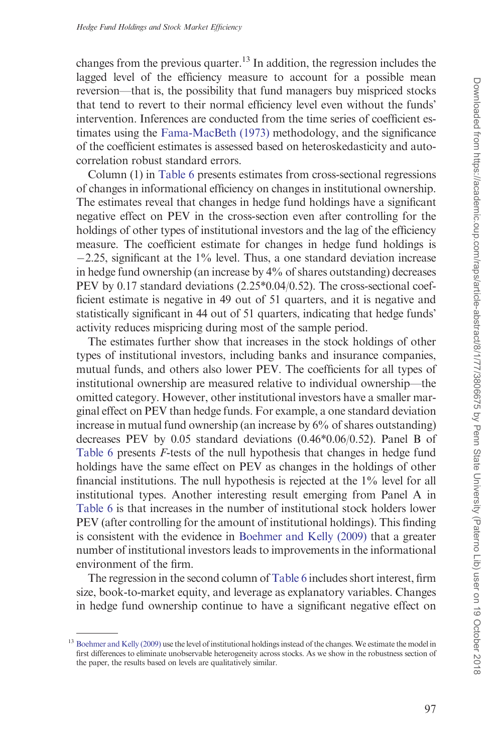changes from the previous quarter.<sup>13</sup> In addition, the regression includes the lagged level of the efficiency measure to account for a possible mean reversion—that is, the possibility that fund managers buy mispriced stocks that tend to revert to their normal efficiency level even without the funds' intervention. Inferences are conducted from the time series of coefficient estimates using the [Fama-MacBeth \(1973\)](#page-38-0) methodology, and the significance of the coefficient estimates is assessed based on heteroskedasticity and autocorrelation robust standard errors.

Column (1) in [Table 6](#page-21-0) presents estimates from cross-sectional regressions of changes in informational efficiency on changes in institutional ownership. The estimates reveal that changes in hedge fund holdings have a significant negative effect on PEV in the cross-section even after controlling for the holdings of other types of institutional investors and the lag of the efficiency measure. The coefficient estimate for changes in hedge fund holdings is  $-2.25$ , significant at the 1% level. Thus, a one standard deviation increase in hedge fund ownership (an increase by 4% of shares outstanding) decreases PEV by 0.17 standard deviations (2.25\*0.04/0.52). The cross-sectional coefficient estimate is negative in 49 out of 51 quarters, and it is negative and statistically significant in 44 out of 51 quarters, indicating that hedge funds' activity reduces mispricing during most of the sample period.

The estimates further show that increases in the stock holdings of other types of institutional investors, including banks and insurance companies, mutual funds, and others also lower PEV. The coefficients for all types of institutional ownership are measured relative to individual ownership—the omitted category. However, other institutional investors have a smaller marginal effect on PEV than hedge funds. For example, a one standard deviation increase in mutual fund ownership (an increase by 6% of shares outstanding) decreases PEV by 0.05 standard deviations (0.46\*0.06/0.52). Panel B of [Table 6](#page-21-0) presents F-tests of the null hypothesis that changes in hedge fund holdings have the same effect on PEV as changes in the holdings of other financial institutions. The null hypothesis is rejected at the 1% level for all institutional types. Another interesting result emerging from Panel A in [Table 6](#page-21-0) is that increases in the number of institutional stock holders lower PEV (after controlling for the amount of institutional holdings). This finding is consistent with the evidence in [Boehmer and Kelly \(2009\)](#page-37-0) that a greater number of institutional investors leads to improvements in the informational environment of the firm.

The regression in the second column of [Table 6](#page-21-0) includes short interest, firm size, book-to-market equity, and leverage as explanatory variables. Changes in hedge fund ownership continue to have a significant negative effect on

<sup>&</sup>lt;sup>13</sup> [Boehmer and Kelly \(2009\)](#page-37-0) use the level of institutional holdings instead of the changes. We estimate the model in first differences to eliminate unobservable heterogeneity across stocks. As we show in the robustness section of the paper, the results based on levels are qualitatively similar.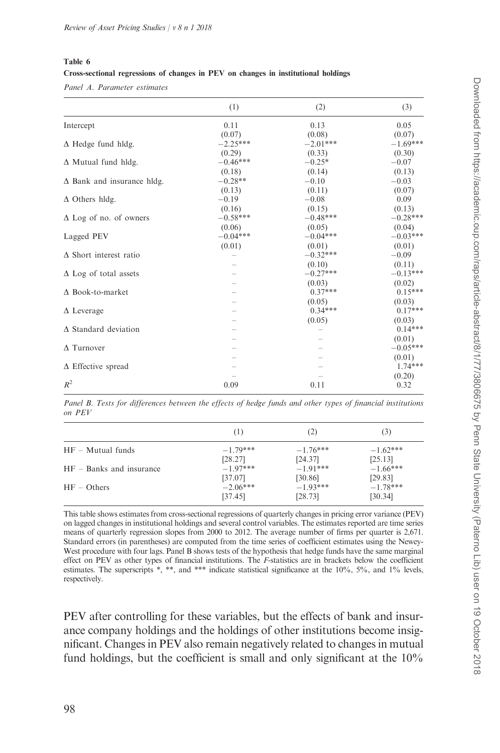#### <span id="page-21-0"></span>Table 6

#### Cross-sectional regressions of changes in PEV on changes in institutional holdings

Panel A. Parameter estimates

|                                   | (1)        | (2)        | (3)        |
|-----------------------------------|------------|------------|------------|
| Intercept                         | 0.11       | 0.13       | 0.05       |
|                                   | (0.07)     | (0.08)     | (0.07)     |
| $\Delta$ Hedge fund hldg.         | $-2.25***$ | $-2.01***$ | $-1.69***$ |
|                                   | (0.29)     | (0.33)     | (0.30)     |
| $\Delta$ Mutual fund hldg.        | $-0.46***$ | $-0.25*$   | $-0.07$    |
|                                   | (0.18)     | (0.14)     | (0.13)     |
| $\Delta$ Bank and insurance hldg. | $-0.28**$  | $-0.10$    | $-0.03$    |
|                                   | (0.13)     | (0.11)     | (0.07)     |
| $\Delta$ Others hldg.             | $-0.19$    | $-0.08$    | 0.09       |
|                                   | (0.16)     | (0.15)     | (0.13)     |
| $\Delta$ Log of no. of owners     | $-0.58***$ | $-0.48***$ | $-0.28***$ |
|                                   | (0.06)     | (0.05)     | (0.04)     |
| Lagged PEV                        | $-0.04***$ | $-0.04***$ | $-0.03***$ |
|                                   | (0.01)     | (0.01)     | (0.01)     |
| $\Delta$ Short interest ratio     |            | $-0.32***$ | $-0.09$    |
|                                   |            | (0.10)     | (0.11)     |
| $\Delta$ Log of total assets      |            | $-0.27***$ | $-0.13***$ |
|                                   |            | (0.03)     | (0.02)     |
| $\triangle$ Book-to-market        |            | $0.37***$  | $0.15***$  |
|                                   |            | (0.05)     | (0.03)     |
| $\Delta$ Leverage                 |            | $0.34***$  | $0.17***$  |
|                                   |            | (0.05)     | (0.03)     |
| $\Delta$ Standard deviation       |            |            | $0.14***$  |
|                                   |            |            | (0.01)     |
| $\Delta$ Turnover                 |            |            | $-0.05***$ |
|                                   |            |            | (0.01)     |
| $\Delta$ Effective spread         |            |            | $1.74***$  |
|                                   |            |            | (0.20)     |
| $R^2$                             | 0.09       | 0.11       | 0.32       |

Panel B. Tests for differences between the effects of hedge funds and other types of financial institutions on PEV

|                            | (1)        | (2)        | (3)        |
|----------------------------|------------|------------|------------|
| $HF - Mutual funds$        | $-1.79***$ | $-1.76***$ | $-1.62***$ |
|                            | [28.27]    | [24.37]    | [25.13]    |
| $HF -$ Banks and insurance | $-1.97***$ | $-1.91***$ | $-1.66***$ |
|                            | [37.07]    | [30.86]    | [29.83]    |
| $HF - Others$              | $-2.06***$ | $-1.93***$ | $-1.78***$ |
|                            | [37.45]    | [28.73]    | [30.34]    |

This table shows estimates from cross-sectional regressions of quarterly changes in pricing error variance (PEV) on lagged changes in institutional holdings and several control variables. The estimates reported are time series means of quarterly regression slopes from 2000 to 2012. The average number of firms per quarter is 2,671. Standard errors (in parentheses) are computed from the time series of coefficient estimates using the Newey-West procedure with four lags. Panel B shows tests of the hypothesis that hedge funds have the same marginal effect on PEV as other types of financial institutions. The F-statistics are in brackets below the coefficient estimates. The superscripts \*, \*\*, and \*\*\* indicate statistical significance at the 10%, 5%, and 1% levels, respectively.

PEV after controlling for these variables, but the effects of bank and insurance company holdings and the holdings of other institutions become insignificant. Changes in PEV also remain negatively related to changes in mutual fund holdings, but the coefficient is small and only significant at the  $10\%$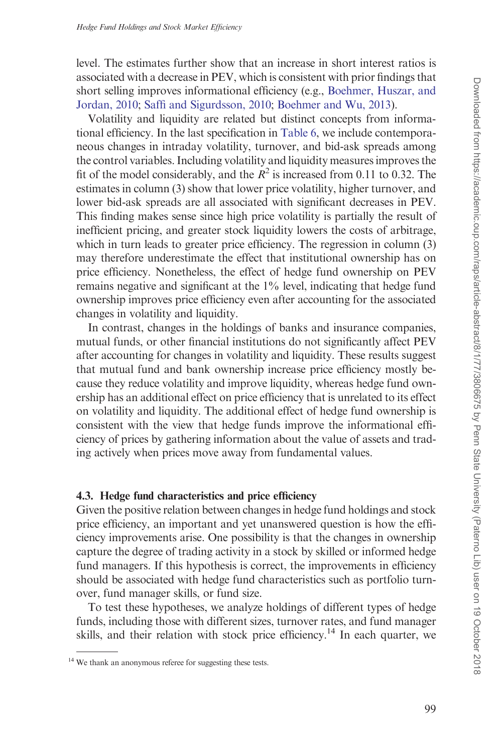level. The estimates further show that an increase in short interest ratios is associated with a decrease in PEV, which is consistent with prior findings that short selling improves informational efficiency (e.g., [Boehmer, Huszar, and](#page-37-0) [Jordan, 2010;](#page-37-0) [Saffi and Sigurdsson, 2010;](#page-39-0) [Boehmer and Wu, 2013\)](#page-37-0).

Volatility and liquidity are related but distinct concepts from informational efficiency. In the last specification in [Table 6,](#page-21-0) we include contemporaneous changes in intraday volatility, turnover, and bid-ask spreads among the control variables. Including volatility and liquidity measures improves the fit of the model considerably, and the  $R^2$  is increased from 0.11 to 0.32. The estimates in column (3) show that lower price volatility, higher turnover, and lower bid-ask spreads are all associated with significant decreases in PEV. This finding makes sense since high price volatility is partially the result of inefficient pricing, and greater stock liquidity lowers the costs of arbitrage, which in turn leads to greater price efficiency. The regression in column (3) may therefore underestimate the effect that institutional ownership has on price efficiency. Nonetheless, the effect of hedge fund ownership on PEV remains negative and significant at the 1% level, indicating that hedge fund ownership improves price efficiency even after accounting for the associated changes in volatility and liquidity.

In contrast, changes in the holdings of banks and insurance companies, mutual funds, or other financial institutions do not significantly affect PEV after accounting for changes in volatility and liquidity. These results suggest that mutual fund and bank ownership increase price efficiency mostly because they reduce volatility and improve liquidity, whereas hedge fund ownership has an additional effect on price efficiency that is unrelated to its effect on volatility and liquidity. The additional effect of hedge fund ownership is consistent with the view that hedge funds improve the informational efficiency of prices by gathering information about the value of assets and trading actively when prices move away from fundamental values.

# 4.3. Hedge fund characteristics and price efficiency

Given the positive relation between changes in hedge fund holdings and stock price efficiency, an important and yet unanswered question is how the efficiency improvements arise. One possibility is that the changes in ownership capture the degree of trading activity in a stock by skilled or informed hedge fund managers. If this hypothesis is correct, the improvements in efficiency should be associated with hedge fund characteristics such as portfolio turnover, fund manager skills, or fund size.

To test these hypotheses, we analyze holdings of different types of hedge funds, including those with different sizes, turnover rates, and fund manager skills, and their relation with stock price efficiency.<sup>14</sup> In each quarter, we

<sup>&</sup>lt;sup>14</sup> We thank an anonymous referee for suggesting these tests.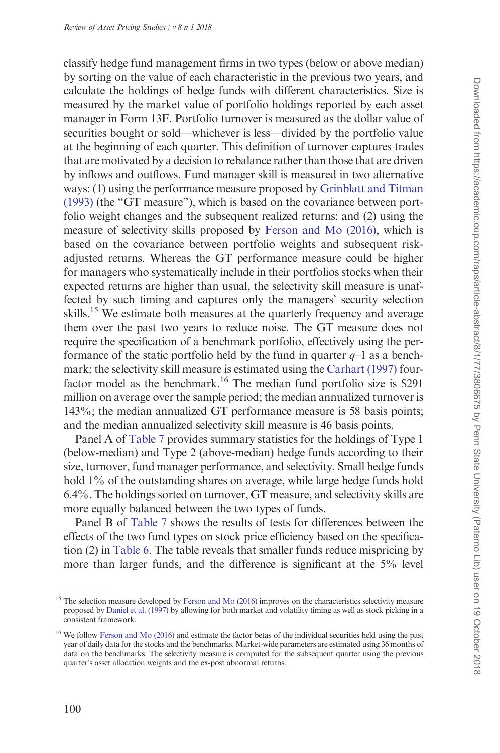classify hedge fund management firms in two types (below or above median) by sorting on the value of each characteristic in the previous two years, and calculate the holdings of hedge funds with different characteristics. Size is measured by the market value of portfolio holdings reported by each asset manager in Form 13F. Portfolio turnover is measured as the dollar value of securities bought or sold—whichever is less—divided by the portfolio value at the beginning of each quarter. This definition of turnover captures trades that are motivated by a decision to rebalance rather than those that are driven by inflows and outflows. Fund manager skill is measured in two alternative ways: (1) using the performance measure proposed by [Grinblatt and Titman](#page-38-0) [\(1993\)](#page-38-0) (the "GT measure"), which is based on the covariance between portfolio weight changes and the subsequent realized returns; and (2) using the measure of selectivity skills proposed by [Ferson and Mo \(2016\)](#page-38-0), which is based on the covariance between portfolio weights and subsequent riskadjusted returns. Whereas the GT performance measure could be higher for managers who systematically include in their portfolios stocks when their expected returns are higher than usual, the selectivity skill measure is unaffected by such timing and captures only the managers' security selection skills.<sup>15</sup> We estimate both measures at the quarterly frequency and average them over the past two years to reduce noise. The GT measure does not require the specification of a benchmark portfolio, effectively using the performance of the static portfolio held by the fund in quarter  $q-1$  as a benchmark; the selectivity skill measure is estimated using the [Carhart \(1997\)](#page-38-0) fourfactor model as the benchmark.<sup>16</sup> The median fund portfolio size is \$291 million on average over the sample period; the median annualized turnover is 143%; the median annualized GT performance measure is 58 basis points; and the median annualized selectivity skill measure is 46 basis points.

Panel A of [Table 7](#page-24-0) provides summary statistics for the holdings of Type 1 (below-median) and Type 2 (above-median) hedge funds according to their size, turnover, fund manager performance, and selectivity. Small hedge funds hold 1% of the outstanding shares on average, while large hedge funds hold 6.4%. The holdings sorted on turnover, GT measure, and selectivity skills are more equally balanced between the two types of funds.

Panel B of [Table 7](#page-24-0) shows the results of tests for differences between the effects of the two fund types on stock price efficiency based on the specification (2) in [Table 6](#page-21-0). The table reveals that smaller funds reduce mispricing by more than larger funds, and the difference is significant at the 5% level

<sup>&</sup>lt;sup>15</sup> The selection measure developed by [Ferson and Mo \(2016\)](#page-38-0) improves on the characteristics selectivity measure proposed by [Daniel et al. \(1997\)](#page-38-0) by allowing for both market and volatility timing as well as stock picking in a consistent framework.

<sup>&</sup>lt;sup>16</sup> We follow [Ferson and Mo \(2016\)](#page-38-0) and estimate the factor betas of the individual securities held using the past year of daily data for the stocks and the benchmarks. Market-wide parameters are estimated using 36 months of data on the benchmarks. The selectivity measure is computed for the subsequent quarter using the previous quarter's asset allocation weights and the ex-post abnormal returns.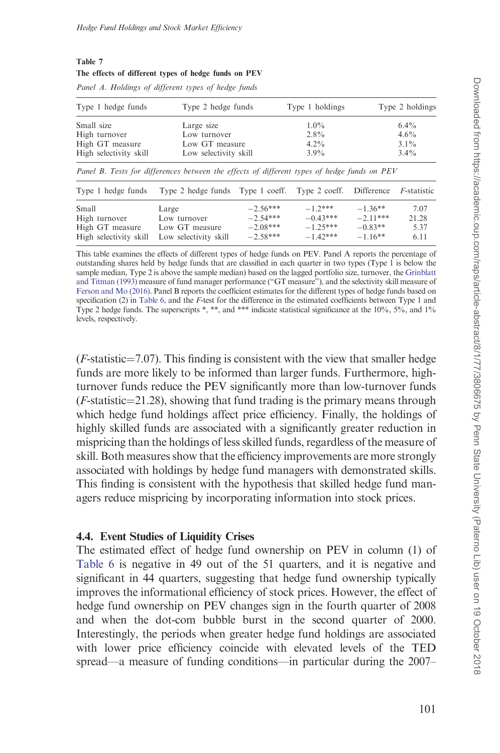#### <span id="page-24-0"></span>Table 7 The effects of different types of hedge funds on PEV

Panel A. Holdings of different types of hedge funds

| Type 1 hedge funds     | Type 2 hedge funds    | Type 1 holdings | Type 2 holdings |
|------------------------|-----------------------|-----------------|-----------------|
| Small size             | Large size            | $1.0\%$         | $6.4\%$         |
| High turnover          | Low turnover          | $2.8\%$         | $4.6\%$         |
| High GT measure        | Low GT measure        | $4.2\%$         | $3.1\%$         |
| High selectivity skill | Low selectivity skill | $3.9\%$         | $3.4\%$         |

Panel B. Tests for differences between the effects of different types of hedge funds on PEV

| Type 1 hedge funds     | Type 2 hedge funds Type 1 coeff. Type 2 coeff. Difference |            |            |            | <i>F</i> -statistic |
|------------------------|-----------------------------------------------------------|------------|------------|------------|---------------------|
| Small                  | Large                                                     | $-2.56***$ | $-1.2***$  | $-1.36**$  | 7.07                |
| High turnover          | Low turnover                                              | $-2.54***$ | $-0.43***$ | $-2.11***$ | 21.28               |
| High GT measure        | Low GT measure                                            | $-2.08***$ | $-1.25***$ | $-0.83**$  | 5.37                |
| High selectivity skill | Low selectivity skill                                     | $-2.58***$ | $-142***$  | $-1.16**$  | 6.11                |

This table examines the effects of different types of hedge funds on PEV. Panel A reports the percentage of outstanding shares held by hedge funds that are classified in each quarter in two types (Type 1 is below the sample median, Type 2 is above the sample median) based on the lagged portfolio size, turnover, the [Grinblatt](#page-38-0) [and Titman \(1993\)](#page-38-0) measure of fund manager performance ("GT measure"), and the selectivity skill measure of [Ferson and Mo \(2016\)](#page-38-0). Panel B reports the coefficient estimates for the different types of hedge funds based on specification (2) in [Table 6](#page-21-0), and the F-test for the difference in the estimated coefficients between Type 1 and Type 2 hedge funds. The superscripts \*, \*\*, and \*\*\* indicate statistical significance at the  $10\%$ ,  $5\%$ , and  $1\%$ levels, respectively.

 $(F\text{-statistic}=7.07)$ . This finding is consistent with the view that smaller hedge funds are more likely to be informed than larger funds. Furthermore, highturnover funds reduce the PEV significantly more than low-turnover funds  $(F\text{-statistic}=21.28)$ , showing that fund trading is the primary means through which hedge fund holdings affect price efficiency. Finally, the holdings of highly skilled funds are associated with a significantly greater reduction in mispricing than the holdings of less skilled funds, regardless of the measure of skill. Both measures show that the efficiency improvements are more strongly associated with holdings by hedge fund managers with demonstrated skills. This finding is consistent with the hypothesis that skilled hedge fund managers reduce mispricing by incorporating information into stock prices.

# 4.4. Event Studies of Liquidity Crises

The estimated effect of hedge fund ownership on PEV in column (1) of [Table 6](#page-21-0) is negative in 49 out of the 51 quarters, and it is negative and significant in 44 quarters, suggesting that hedge fund ownership typically improves the informational efficiency of stock prices. However, the effect of hedge fund ownership on PEV changes sign in the fourth quarter of 2008 and when the dot-com bubble burst in the second quarter of 2000. Interestingly, the periods when greater hedge fund holdings are associated with lower price efficiency coincide with elevated levels of the TED spread—a measure of funding conditions—in particular during the 2007–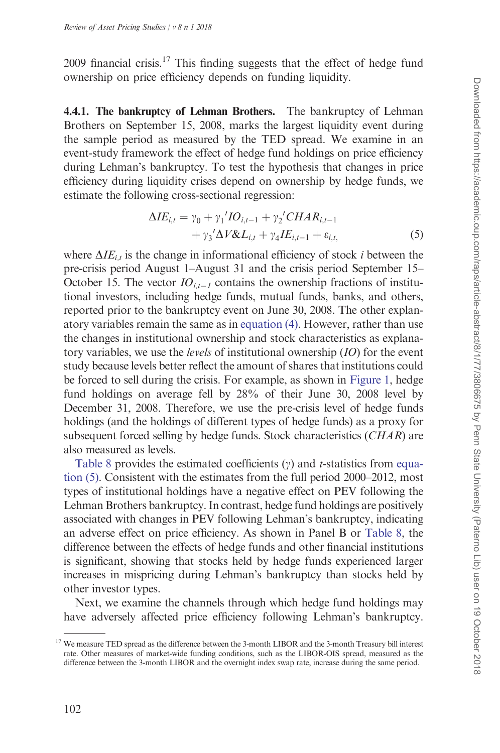2009 financial crisis.17 This finding suggests that the effect of hedge fund ownership on price efficiency depends on funding liquidity.

4.4.1. The bankruptcy of Lehman Brothers. The bankruptcy of Lehman Brothers on September 15, 2008, marks the largest liquidity event during the sample period as measured by the TED spread. We examine in an event-study framework the effect of hedge fund holdings on price efficiency during Lehman's bankruptcy. To test the hypothesis that changes in price efficiency during liquidity crises depend on ownership by hedge funds, we estimate the following cross-sectional regression:

$$
\Delta IE_{i,t} = \gamma_0 + \gamma_1' IO_{i,t-1} + \gamma_2' CHAR_{i,t-1} + \gamma_3' \Delta V \& L_{i,t} + \gamma_4 IE_{i,t-1} + \varepsilon_{i,t},
$$
\n(5)

where  $\Delta IE_{i,t}$  is the change in informational efficiency of stock *i* between the pre-crisis period August 1–August 31 and the crisis period September 15– October 15. The vector  $IO_{i,t-1}$  contains the ownership fractions of institutional investors, including hedge funds, mutual funds, banks, and others, reported prior to the bankruptcy event on June 30, 2008. The other explanatory variables remain the same as in [equation \(4\).](#page-19-0) However, rather than use the changes in institutional ownership and stock characteristics as explanatory variables, we use the levels of institutional ownership (IO) for the event study because levels better reflect the amount of shares that institutions could be forced to sell during the crisis. For example, as shown in [Figure 1,](#page-11-0) hedge fund holdings on average fell by 28% of their June 30, 2008 level by December 31, 2008. Therefore, we use the pre-crisis level of hedge funds holdings (and the holdings of different types of hedge funds) as a proxy for subsequent forced selling by hedge funds. Stock characteristics (CHAR) are also measured as levels.

[Table 8](#page-26-0) provides the estimated coefficients  $(y)$  and *t*-statistics from equation (5). Consistent with the estimates from the full period 2000–2012, most types of institutional holdings have a negative effect on PEV following the Lehman Brothers bankruptcy. In contrast, hedge fund holdings are positively associated with changes in PEV following Lehman's bankruptcy, indicating an adverse effect on price efficiency. As shown in Panel B or [Table 8](#page-26-0), the difference between the effects of hedge funds and other financial institutions is significant, showing that stocks held by hedge funds experienced larger increases in mispricing during Lehman's bankruptcy than stocks held by other investor types.

Next, we examine the channels through which hedge fund holdings may have adversely affected price efficiency following Lehman's bankruptcy.

<sup>&</sup>lt;sup>17</sup> We measure TED spread as the difference between the 3-month LIBOR and the 3-month Treasury bill interest rate. Other measures of market-wide funding conditions, such as the LIBOR-OIS spread, measured as the difference between the 3-month LIBOR and the overnight index swap rate, increase during the same period.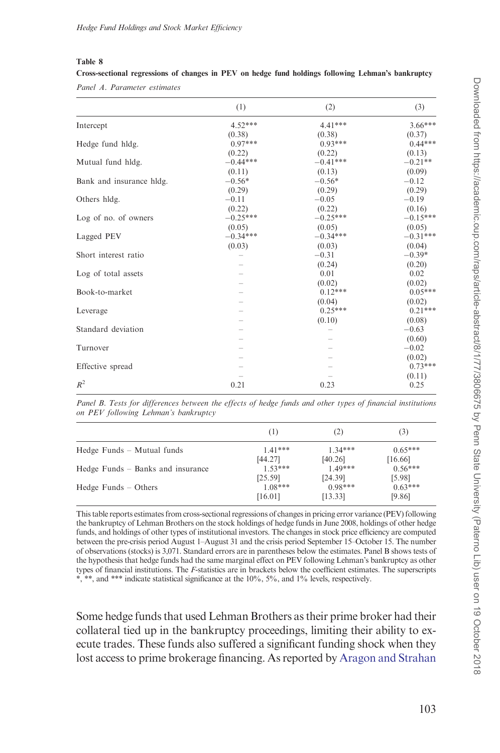#### <span id="page-26-0"></span>Table 8

|                          | (1)        | (2)        | (3)        |
|--------------------------|------------|------------|------------|
| Intercept                | $4.52***$  | 4.41***    | $3.66***$  |
|                          | (0.38)     | (0.38)     | (0.37)     |
| Hedge fund hldg.         | $0.97***$  | $0.93***$  | $0.44***$  |
|                          | (0.22)     | (0.22)     | (0.13)     |
| Mutual fund hldg.        | $-0.44***$ | $-0.41***$ | $-0.21**$  |
|                          | (0.11)     | (0.13)     | (0.09)     |
| Bank and insurance hldg. | $-0.56*$   | $-0.56*$   | $-0.12$    |
|                          | (0.29)     | (0.29)     | (0.29)     |
| Others hldg.             | $-0.11$    | $-0.05$    | $-0.19$    |
|                          | (0.22)     | (0.22)     | (0.16)     |
| Log of no. of owners     | $-0.25***$ | $-0.25***$ | $-0.15***$ |
|                          | (0.05)     | (0.05)     | (0.05)     |
| Lagged PEV               | $-0.34***$ | $-0.34***$ | $-0.31***$ |
|                          | (0.03)     | (0.03)     | (0.04)     |
| Short interest ratio     |            | $-0.31$    | $-0.39*$   |
|                          |            | (0.24)     | (0.20)     |
| Log of total assets      |            | 0.01       | 0.02       |
|                          |            | (0.02)     | (0.02)     |
| Book-to-market           |            | $0.12***$  | $0.05***$  |
|                          |            | (0.04)     | (0.02)     |
| Leverage                 |            | $0.25***$  | $0.21***$  |
|                          |            | (0.10)     | (0.08)     |
| Standard deviation       |            |            | $-0.63$    |
|                          |            |            | (0.60)     |
| Turnover                 |            |            | $-0.02$    |
|                          |            |            | (0.02)     |
| Effective spread         |            |            | $0.73***$  |
|                          |            |            | (0.11)     |
| $R^2$                    | 0.21       | 0.23       | 0.25       |

### Cross-sectional regressions of changes in PEV on hedge fund holdings following Lehman's bankruptcy Panel A. Parameter estimates

Panel B. Tests for differences between the effects of hedge funds and other types of financial institutions on PEV following Lehman's bankruptcy

|                                   | (1)       | (2)       | (3)       |
|-----------------------------------|-----------|-----------|-----------|
| Hedge Funds – Mutual funds        | $1.41***$ | $1.34***$ | $0.65***$ |
|                                   | [44.27]   | [40.26]   | [16.66]   |
| Hedge Funds – Banks and insurance | $1.53***$ | $1.49***$ | $0.56***$ |
|                                   | [25.59]   | [24.39]   | [5.98]    |
| Hedge Funds – Others              | $1.08***$ | $0.98***$ | $0.63***$ |
|                                   | [16.01]   | [13.33]   | [9.86]    |

This table reports estimates from cross-sectional regressions of changes in pricing error variance (PEV) following the bankruptcy of Lehman Brothers on the stock holdings of hedge funds in June 2008, holdings of other hedge funds, and holdings of other types of institutional investors. The changes in stock price efficiency are computed between the pre-crisis period August 1–August 31 and the crisis period September 15–October 15. The number of observations (stocks) is 3,071. Standard errors are in parentheses below the estimates. Panel B shows tests of the hypothesis that hedge funds had the same marginal effect on PEV following Lehman's bankruptcy as other types of financial institutions. The F-statistics are in brackets below the coefficient estimates. The superscripts \*, \*\*, and \*\*\* indicate statistical significance at the 10%, 5%, and 1% levels, respectively.

Some hedge funds that used Lehman Brothers as their prime broker had their collateral tied up in the bankruptcy proceedings, limiting their ability to execute trades. These funds also suffered a significant funding shock when they lost access to prime brokerage financing. As reported by [Aragon and Strahan](#page-37-0)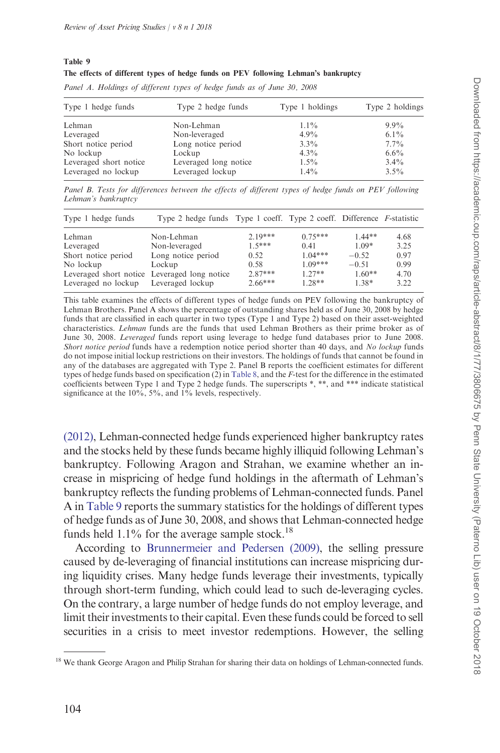#### <span id="page-27-0"></span>Table 9

#### The effects of different types of hedge funds on PEV following Lehman's bankruptcy

Panel A. Holdings of different types of hedge funds as of June 30, 2008

| Type 1 hedge funds     | Type 2 hedge funds    | Type 1 holdings | Type 2 holdings |
|------------------------|-----------------------|-----------------|-----------------|
| Lehman                 | Non-Lehman            | $1.1\%$         | $9.9\%$         |
| Leveraged              | Non-leveraged         | $4.9\%$         | $6.1\%$         |
| Short notice period    | Long notice period    | $3.3\%$         | $7.7\%$         |
| No lockup              | Lockup                | $4.3\%$         | $6.6\%$         |
| Leveraged short notice | Leveraged long notice | $1.5\%$         | $3.4\%$         |
| Leveraged no lockup    | Leveraged lockup      | $1.4\%$         | $3.5\%$         |

Panel B. Tests for differences between the effects of different types of hedge funds on PEV following Lehman's bankruptcy

| Type 1 hedge funds                           | Type 2 hedge funds Type 1 coeff. Type 2 coeff. Difference F-statistic |           |           |          |      |
|----------------------------------------------|-----------------------------------------------------------------------|-----------|-----------|----------|------|
| Lehman                                       | Non-Lehman                                                            | $2.19***$ | $0.75***$ | $1.44**$ | 4.68 |
| Leveraged                                    | Non-leveraged                                                         | $15***$   | 0.41      | $1.09*$  | 3.25 |
| Short notice period                          | Long notice period                                                    | 0.52      | $1.04***$ | $-0.52$  | 0.97 |
| No lockup                                    | Lockup                                                                | 0.58      | $1.09***$ | $-0.51$  | 0.99 |
| Leveraged short notice Leveraged long notice |                                                                       | $2.87***$ | $1.27**$  | $1.60**$ | 4.70 |
| Leveraged no lockup                          | Leveraged lockup                                                      | $2.66***$ | $1.28**$  | $1.38*$  | 3.22 |

This table examines the effects of different types of hedge funds on PEV following the bankruptcy of Lehman Brothers. Panel A shows the percentage of outstanding shares held as of June 30, 2008 by hedge funds that are classified in each quarter in two types (Type 1 and Type 2) based on their asset-weighted characteristics. Lehman funds are the funds that used Lehman Brothers as their prime broker as of June 30, 2008. Leveraged funds report using leverage to hedge fund databases prior to June 2008. Short notice period funds have a redemption notice period shorter than 40 days, and No lockup funds do not impose initial lockup restrictions on their investors. The holdings of funds that cannot be found in any of the databases are aggregated with Type 2. Panel B reports the coefficient estimates for different types of hedge funds based on specification (2) in [Table 8](#page-26-0), and the F-test for the difference in the estimated coefficients between Type 1 and Type 2 hedge funds. The superscripts \*, \*\*, and \*\*\* indicate statistical significance at the 10%, 5%, and 1% levels, respectively.

[\(2012\)](#page-37-0), Lehman-connected hedge funds experienced higher bankruptcy rates and the stocks held by these funds became highly illiquid following Lehman's bankruptcy. Following Aragon and Strahan, we examine whether an increase in mispricing of hedge fund holdings in the aftermath of Lehman's bankruptcy reflects the funding problems of Lehman-connected funds. Panel A in Table 9 reports the summary statistics for the holdings of different types of hedge funds as of June 30, 2008, and shows that Lehman-connected hedge funds held  $1.1\%$  for the average sample stock.<sup>18</sup>

According to [Brunnermeier and Pedersen \(2009\)](#page-37-0), the selling pressure caused by de-leveraging of financial institutions can increase mispricing during liquidity crises. Many hedge funds leverage their investments, typically through short-term funding, which could lead to such de-leveraging cycles. On the contrary, a large number of hedge funds do not employ leverage, and limit their investments to their capital. Even these funds could be forced to sell securities in a crisis to meet investor redemptions. However, the selling

<sup>&</sup>lt;sup>18</sup> We thank George Aragon and Philip Strahan for sharing their data on holdings of Lehman-connected funds.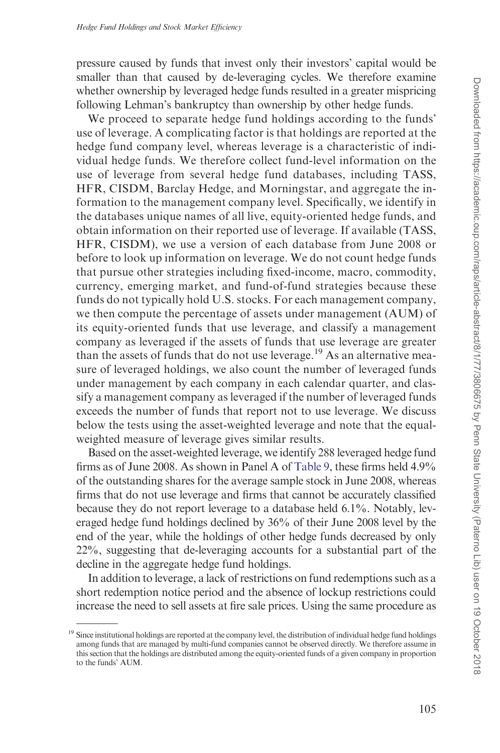pressure caused by funds that invest only their investors' capital would be smaller than that caused by de-leveraging cycles. We therefore examine whether ownership by leveraged hedge funds resulted in a greater mispricing following Lehman's bankruptcy than ownership by other hedge funds.

We proceed to separate hedge fund holdings according to the funds' use of leverage. A complicating factor is that holdings are reported at the hedge fund company level, whereas leverage is a characteristic of individual hedge funds. We therefore collect fund-level information on the use of leverage from several hedge fund databases, including TASS, HFR, CISDM, Barclay Hedge, and Morningstar, and aggregate the information to the management company level. Specifically, we identify in the databases unique names of all live, equity-oriented hedge funds, and obtain information on their reported use of leverage. If available (TASS, HFR, CISDM), we use a version of each database from June 2008 or before to look up information on leverage. We do not count hedge funds that pursue other strategies including fixed-income, macro, commodity, currency, emerging market, and fund-of-fund strategies because these funds do not typically hold U.S. stocks. For each management company, we then compute the percentage of assets under management (AUM) of its equity-oriented funds that use leverage, and classify a management company as leveraged if the assets of funds that use leverage are greater than the assets of funds that do not use leverage.<sup>19</sup> As an alternative measure of leveraged holdings, we also count the number of leveraged funds under management by each company in each calendar quarter, and classify a management company as leveraged if the number of leveraged funds exceeds the number of funds that report not to use leverage. We discuss below the tests using the asset-weighted leverage and note that the equalweighted measure of leverage gives similar results.

Based on the asset-weighted leverage, we identify 288 leveraged hedge fund firms as of June 2008. As shown in Panel A of [Table 9,](#page-27-0) these firms held 4.9% of the outstanding shares for the average sample stock in June 2008, whereas firms that do not use leverage and firms that cannot be accurately classified because they do not report leverage to a database held 6.1%. Notably, leveraged hedge fund holdings declined by 36% of their June 2008 level by the end of the year, while the holdings of other hedge funds decreased by only 22%, suggesting that de-leveraging accounts for a substantial part of the decline in the aggregate hedge fund holdings.

In addition to leverage, a lack of restrictions on fund redemptions such as a short redemption notice period and the absence of lockup restrictions could increase the need to sell assets at fire sale prices. Using the same procedure as

<sup>&</sup>lt;sup>19</sup> Since institutional holdings are reported at the company level, the distribution of individual hedge fund holdings among funds that are managed by multi-fund companies cannot be observed directly. We therefore assume in this section that the holdings are distributed among the equity-oriented funds of a given company in proportion to the funds' AUM.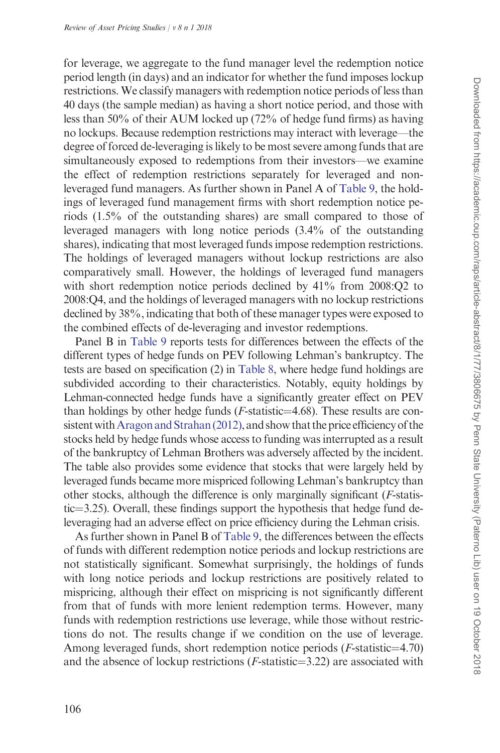for leverage, we aggregate to the fund manager level the redemption notice period length (in days) and an indicator for whether the fund imposes lockup restrictions. We classify managers with redemption notice periods of less than 40 days (the sample median) as having a short notice period, and those with less than 50% of their AUM locked up (72% of hedge fund firms) as having no lockups. Because redemption restrictions may interact with leverage—the degree of forced de-leveraging is likely to be most severe among funds that are simultaneously exposed to redemptions from their investors—we examine the effect of redemption restrictions separately for leveraged and nonleveraged fund managers. As further shown in Panel A of [Table 9](#page-27-0), the holdings of leveraged fund management firms with short redemption notice periods (1.5% of the outstanding shares) are small compared to those of leveraged managers with long notice periods (3.4% of the outstanding shares), indicating that most leveraged funds impose redemption restrictions. The holdings of leveraged managers without lockup restrictions are also comparatively small. However, the holdings of leveraged fund managers with short redemption notice periods declined by  $41\%$  from 2008:Q2 to 2008:Q4, and the holdings of leveraged managers with no lockup restrictions declined by 38%, indicating that both of these manager types were exposed to the combined effects of de-leveraging and investor redemptions.

Panel B in [Table 9](#page-27-0) reports tests for differences between the effects of the different types of hedge funds on PEV following Lehman's bankruptcy. The tests are based on specification (2) in [Table 8,](#page-26-0) where hedge fund holdings are subdivided according to their characteristics. Notably, equity holdings by Lehman-connected hedge funds have a significantly greater effect on PEV than holdings by other hedge funds ( $F$ -statistic=4.68). These results are con-sistent with [Aragon and Strahan \(2012\)](#page-37-0), and show that the price efficiency of the stocks held by hedge funds whose access to funding was interrupted as a result of the bankruptcy of Lehman Brothers was adversely affected by the incident. The table also provides some evidence that stocks that were largely held by leveraged funds became more mispriced following Lehman's bankruptcy than other stocks, although the difference is only marginally significant (F-statis $tic=3.25$ ). Overall, these findings support the hypothesis that hedge fund deleveraging had an adverse effect on price efficiency during the Lehman crisis.

As further shown in Panel B of [Table 9](#page-27-0), the differences between the effects of funds with different redemption notice periods and lockup restrictions are not statistically significant. Somewhat surprisingly, the holdings of funds with long notice periods and lockup restrictions are positively related to mispricing, although their effect on mispricing is not significantly different from that of funds with more lenient redemption terms. However, many funds with redemption restrictions use leverage, while those without restrictions do not. The results change if we condition on the use of leverage. Among leveraged funds, short redemption notice periods  $(F\text{-statistic}=4.70)$ and the absence of lockup restrictions ( $F$ -statistic=3.22) are associated with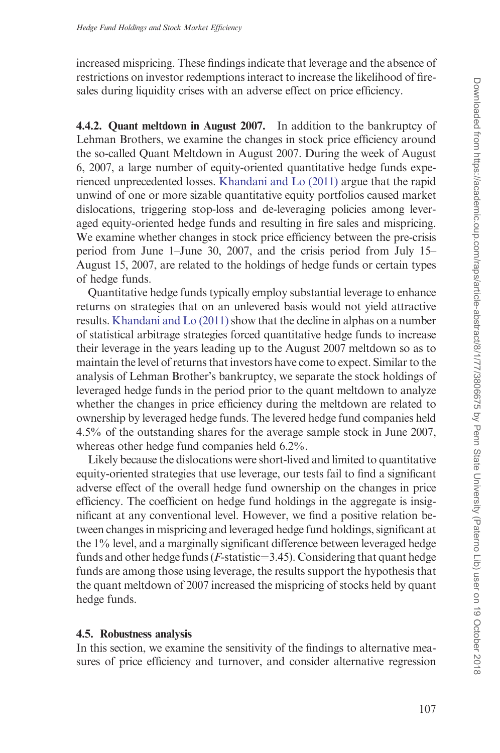increased mispricing. These findings indicate that leverage and the absence of restrictions on investor redemptions interact to increase the likelihood of firesales during liquidity crises with an adverse effect on price efficiency.

4.4.2. Quant meltdown in August 2007. In addition to the bankruptcy of Lehman Brothers, we examine the changes in stock price efficiency around the so-called Quant Meltdown in August 2007. During the week of August 6, 2007, a large number of equity-oriented quantitative hedge funds experienced unprecedented losses. [Khandani and Lo \(2011\)](#page-39-0) argue that the rapid unwind of one or more sizable quantitative equity portfolios caused market dislocations, triggering stop-loss and de-leveraging policies among leveraged equity-oriented hedge funds and resulting in fire sales and mispricing. We examine whether changes in stock price efficiency between the pre-crisis period from June 1–June 30, 2007, and the crisis period from July 15– August 15, 2007, are related to the holdings of hedge funds or certain types of hedge funds.

Quantitative hedge funds typically employ substantial leverage to enhance returns on strategies that on an unlevered basis would not yield attractive results. [Khandani and Lo \(2011\)](#page-39-0) show that the decline in alphas on a number of statistical arbitrage strategies forced quantitative hedge funds to increase their leverage in the years leading up to the August 2007 meltdown so as to maintain the level of returns that investors have come to expect. Similar to the analysis of Lehman Brother's bankruptcy, we separate the stock holdings of leveraged hedge funds in the period prior to the quant meltdown to analyze whether the changes in price efficiency during the meltdown are related to ownership by leveraged hedge funds. The levered hedge fund companies held 4.5% of the outstanding shares for the average sample stock in June 2007, whereas other hedge fund companies held 6.2%.

Likely because the dislocations were short-lived and limited to quantitative equity-oriented strategies that use leverage, our tests fail to find a significant adverse effect of the overall hedge fund ownership on the changes in price efficiency. The coefficient on hedge fund holdings in the aggregate is insignificant at any conventional level. However, we find a positive relation between changes in mispricing and leveraged hedge fund holdings, significant at the 1% level, and a marginally significant difference between leveraged hedge funds and other hedge funds ( $F$ -statistic=3.45). Considering that quant hedge funds are among those using leverage, the results support the hypothesis that the quant meltdown of 2007 increased the mispricing of stocks held by quant hedge funds.

# 4.5. Robustness analysis

In this section, we examine the sensitivity of the findings to alternative measures of price efficiency and turnover, and consider alternative regression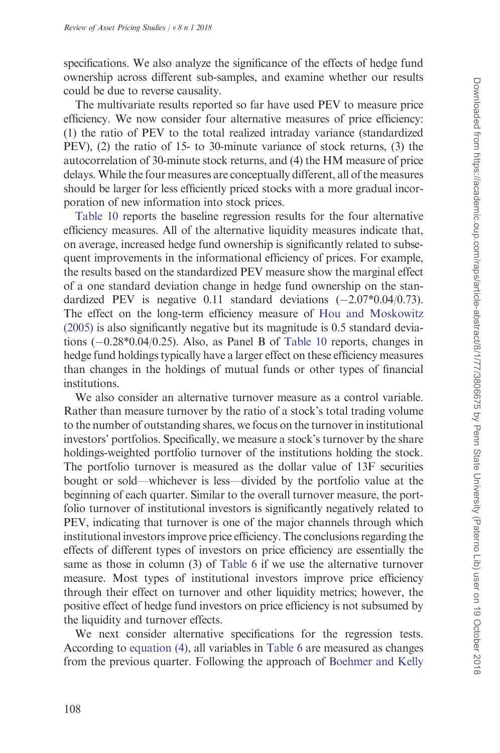specifications. We also analyze the significance of the effects of hedge fund ownership across different sub-samples, and examine whether our results could be due to reverse causality.

The multivariate results reported so far have used PEV to measure price efficiency. We now consider four alternative measures of price efficiency: (1) the ratio of PEV to the total realized intraday variance (standardized PEV), (2) the ratio of 15- to 30-minute variance of stock returns, (3) the autocorrelation of 30-minute stock returns, and (4) the HM measure of price delays.While the four measures are conceptually different, all of the measures should be larger for less efficiently priced stocks with a more gradual incorporation of new information into stock prices.

[Table 10](#page-32-0) reports the baseline regression results for the four alternative efficiency measures. All of the alternative liquidity measures indicate that, on average, increased hedge fund ownership is significantly related to subsequent improvements in the informational efficiency of prices. For example, the results based on the standardized PEV measure show the marginal effect of a one standard deviation change in hedge fund ownership on the standardized PEV is negative  $0.11$  standard deviations  $(-2.07*0.04/0.73)$ . The effect on the long-term efficiency measure of [Hou and Moskowitz](#page-39-0) [\(2005\)](#page-39-0) is also significantly negative but its magnitude is 0.5 standard deviations  $(-0.28*0.04/0.25)$ . Also, as Panel B of [Table 10](#page-32-0) reports, changes in hedge fund holdings typically have a larger effect on these efficiency measures than changes in the holdings of mutual funds or other types of financial institutions.

We also consider an alternative turnover measure as a control variable. Rather than measure turnover by the ratio of a stock's total trading volume to the number of outstanding shares, we focus on the turnover in institutional investors' portfolios. Specifically, we measure a stock's turnover by the share holdings-weighted portfolio turnover of the institutions holding the stock. The portfolio turnover is measured as the dollar value of 13F securities bought or sold—whichever is less—divided by the portfolio value at the beginning of each quarter. Similar to the overall turnover measure, the portfolio turnover of institutional investors is significantly negatively related to PEV, indicating that turnover is one of the major channels through which institutional investors improve price efficiency. The conclusions regarding the effects of different types of investors on price efficiency are essentially the same as those in column (3) of [Table 6](#page-21-0) if we use the alternative turnover measure. Most types of institutional investors improve price efficiency through their effect on turnover and other liquidity metrics; however, the positive effect of hedge fund investors on price efficiency is not subsumed by the liquidity and turnover effects.

We next consider alternative specifications for the regression tests. According to [equation \(4\),](#page-19-0) all variables in [Table 6](#page-21-0) are measured as changes from the previous quarter. Following the approach of [Boehmer and Kelly](#page-37-0)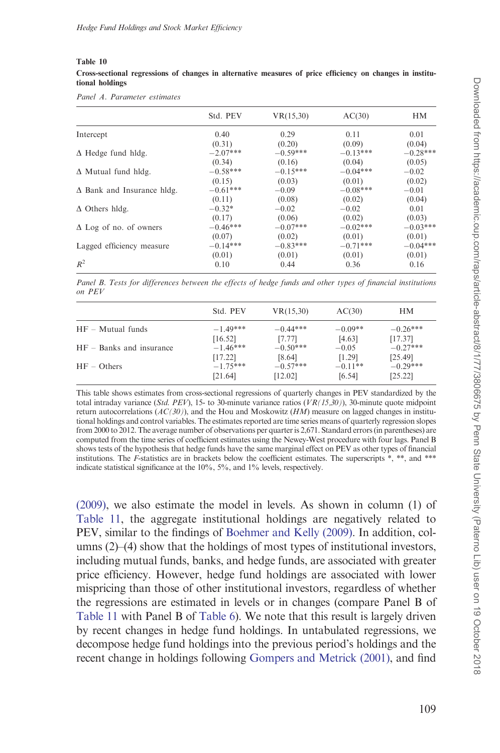#### <span id="page-32-0"></span>Table 10

#### Cross-sectional regressions of changes in alternative measures of price efficiency on changes in institutional holdings

Panel A. Parameter estimates

|                                   | Std. PEV   | VR(15,30)  | AC(30)     | <b>HM</b>  |
|-----------------------------------|------------|------------|------------|------------|
| Intercept                         | 0.40       | 0.29       | 0.11       | 0.01       |
|                                   | (0.31)     | (0.20)     | (0.09)     | (0.04)     |
| $\Delta$ Hedge fund hldg.         | $-2.07***$ | $-0.59***$ | $-0.13***$ | $-0.28***$ |
|                                   | (0.34)     | (0.16)     | (0.04)     | (0.05)     |
| $\Delta$ Mutual fund hldg.        | $-0.58***$ | $-0.15***$ | $-0.04***$ | $-0.02$    |
|                                   | (0.15)     | (0.03)     | (0.01)     | (0.02)     |
| $\Delta$ Bank and Insurance hldg. | $-0.61***$ | $-0.09$    | $-0.08***$ | $-0.01$    |
|                                   | (0.11)     | (0.08)     | (0.02)     | (0.04)     |
| $\Delta$ Others hldg.             | $-0.32*$   | $-0.02$    | $-0.02$    | 0.01       |
|                                   | (0.17)     | (0.06)     | (0.02)     | (0.03)     |
| $\Delta$ Log of no. of owners     | $-0.46***$ | $-0.07***$ | $-0.02***$ | $-0.03***$ |
|                                   | (0.07)     | (0.02)     | (0.01)     | (0.01)     |
| Lagged efficiency measure         | $-0.14***$ | $-0.83***$ | $-0.71***$ | $-0.04***$ |
|                                   | (0.01)     | (0.01)     | (0.01)     | (0.01)     |
| $R^2$                             | 0.10       | 0.44       | 0.36       | 0.16       |

Panel B. Tests for differences between the effects of hedge funds and other types of financial institutions on PEV

|                            | Std. PEV   | VR(15,30)  | AC(30)    | HМ         |
|----------------------------|------------|------------|-----------|------------|
| $HF - Mutual funds$        | $-1.49***$ | $-0.44***$ | $-0.09**$ | $-0.26***$ |
|                            | [16.52]    | [7.77]     | [4.63]    | [17.37]    |
| $HF - Banks$ and insurance | $-1.46***$ | $-0.50***$ | $-0.05$   | $-0.27***$ |
|                            | [17.22]    | [8.64]     | [1.29]    | [25.49]    |
| $HF - Others$              | $-1.75***$ | $-0.57***$ | $-0.11**$ | $-0.29***$ |
|                            | [21.64]    | [12.02]    | [6.54]    | [25.22]    |

This table shows estimates from cross-sectional regressions of quarterly changes in PEV standardized by the total intraday variance (Std. PEV), 15- to 30-minute variance ratios (VR(15,30)), 30-minute quote midpoint return autocorrelations  $(AC(30))$ , and the Hou and Moskowitz  $(HM)$  measure on lagged changes in institutional holdings and control variables. The estimates reported are time series means of quarterly regression slopes from 2000 to 2012. The average number of observations per quarter is 2,671. Standard errors (in parentheses) are computed from the time series of coefficient estimates using the Newey-West procedure with four lags. Panel B shows tests of the hypothesis that hedge funds have the same marginal effect on PEV as other types of financial institutions. The F-statistics are in brackets below the coefficient estimates. The superscripts \*, \*\*, and \*\*\* indicate statistical significance at the 10%, 5%, and 1% levels, respectively.

[\(2009\)](#page-37-0), we also estimate the model in levels. As shown in column (1) of [Table 11](#page-33-0), the aggregate institutional holdings are negatively related to PEV, similar to the findings of [Boehmer and Kelly \(2009\).](#page-37-0) In addition, columns (2)–(4) show that the holdings of most types of institutional investors, including mutual funds, banks, and hedge funds, are associated with greater price efficiency. However, hedge fund holdings are associated with lower mispricing than those of other institutional investors, regardless of whether the regressions are estimated in levels or in changes (compare Panel B of [Table 11](#page-33-0) with Panel B of [Table 6\)](#page-21-0). We note that this result is largely driven by recent changes in hedge fund holdings. In untabulated regressions, we decompose hedge fund holdings into the previous period's holdings and the recent change in holdings following [Gompers and Metrick \(2001\)](#page-38-0), and find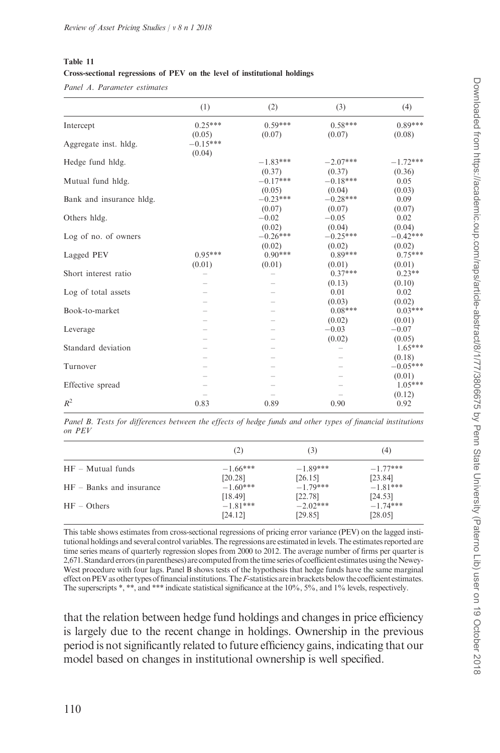#### <span id="page-33-0"></span>Table 11

#### Cross-sectional regressions of PEV on the level of institutional holdings

Panel A. Parameter estimates

|                          | (1)        | (2)        | (3)        | (4)        |
|--------------------------|------------|------------|------------|------------|
| Intercept                | $0.25***$  | $0.59***$  | $0.58***$  | $0.89***$  |
|                          | (0.05)     | (0.07)     | (0.07)     | (0.08)     |
| Aggregate inst. hldg.    | $-0.15***$ |            |            |            |
|                          | (0.04)     |            |            |            |
| Hedge fund hldg.         |            | $-1.83***$ | $-2.07***$ | $-1.72***$ |
|                          |            | (0.37)     | (0.37)     | (0.36)     |
| Mutual fund hldg.        |            | $-0.17***$ | $-0.18***$ | 0.05       |
|                          |            | (0.05)     | (0.04)     | (0.03)     |
| Bank and insurance hldg. |            | $-0.23***$ | $-0.28***$ | 0.09       |
|                          |            | (0.07)     | (0.07)     | (0.07)     |
| Others hldg.             |            | $-0.02$    | $-0.05$    | 0.02       |
|                          |            | (0.02)     | (0.04)     | (0.04)     |
| Log of no. of owners     |            | $-0.26***$ | $-0.25***$ | $-0.42***$ |
|                          |            | (0.02)     | (0.02)     | (0.02)     |
| Lagged PEV               | $0.95***$  | $0.90***$  | $0.89***$  | $0.75***$  |
|                          | (0.01)     | (0.01)     | (0.01)     | (0.01)     |
| Short interest ratio     | -          |            | $0.37***$  | $0.23**$   |
|                          |            |            | (0.13)     | (0.10)     |
| Log of total assets      |            |            | 0.01       | 0.02       |
|                          |            |            | (0.03)     | (0.02)     |
| Book-to-market           |            |            | $0.08***$  | $0.03***$  |
|                          |            |            | (0.02)     | (0.01)     |
| Leverage                 |            |            | $-0.03$    | $-0.07$    |
|                          |            |            | (0.02)     | (0.05)     |
| Standard deviation       |            |            |            | $1.65***$  |
|                          |            |            |            | (0.18)     |
| Turnover                 |            |            |            | $-0.05***$ |
|                          |            |            |            | (0.01)     |
| Effective spread         |            |            |            | $1.05***$  |
|                          |            |            |            | (0.12)     |
| $R^2$                    | 0.83       | 0.89       | 0.90       | 0.92       |

Panel B. Tests for differences between the effects of hedge funds and other types of financial institutions on PEV

|                            | (2)        | (3)        | (4)        |
|----------------------------|------------|------------|------------|
| $HF - Mutual funds$        | $-1.66***$ | $-1.89***$ | $-1.77***$ |
|                            | [20.28]    | [26.15]    | [23.84]    |
| $HF -$ Banks and insurance | $-1.60***$ | $-1.79***$ | $-1.81***$ |
|                            | [18.49]    | [22.78]    | [24.53]    |
| $HF - Others$              | $-1.81***$ | $-2.02***$ | $-1.74***$ |
|                            | [24.12]    | [29.85]    | [28.05]    |

This table shows estimates from cross-sectional regressions of pricing error variance (PEV) on the lagged institutional holdings and several control variables. The regressions are estimated in levels. The estimates reported are time series means of quarterly regression slopes from 2000 to 2012. The average number of firms per quarter is 2,671. Standard errors (in parentheses) are computed from the time series of coefficient estimates using the Newey-West procedure with four lags. Panel B shows tests of the hypothesis that hedge funds have the same marginal effect on PEV as other types of financial institutions. The F-statistics are in brackets below the coefficient estimates. The superscripts \*, \*\*, and \*\*\* indicate statistical significance at the 10%, 5%, and 1% levels, respectively.

that the relation between hedge fund holdings and changes in price efficiency is largely due to the recent change in holdings. Ownership in the previous period is not significantly related to future efficiency gains, indicating that our model based on changes in institutional ownership is well specified.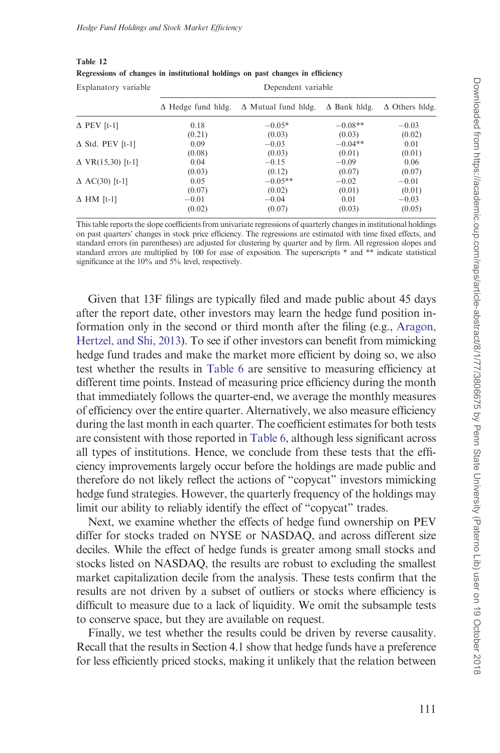| Explanatory variable     | Dependent variable        |                            |                     |                       |
|--------------------------|---------------------------|----------------------------|---------------------|-----------------------|
|                          | $\Delta$ Hedge fund hldg. | $\Delta$ Mutual fund hldg. | $\Delta$ Bank hldg. | $\Delta$ Others hldg. |
| $\Delta$ PEV [t-1]       | 0.18                      | $-0.05*$                   | $-0.08**$           | $-0.03$               |
|                          | (0.21)                    | (0.03)                     | (0.03)              | (0.02)                |
| $\Delta$ Std. PEV [t-1]  | 0.09                      | $-0.03$                    | $-0.04**$           | 0.01                  |
|                          | (0.08)                    | (0.03)                     | (0.01)              | (0.01)                |
| $\Delta$ VR(15,30) [t-1] | 0.04                      | $-0.15$                    | $-0.09$             | 0.06                  |
|                          | (0.03)                    | (0.12)                     | (0.07)              | (0.07)                |
| $\Delta$ AC(30) [t-1]    | 0.05                      | $-0.05**$                  | $-0.02$             | $-0.01$               |
|                          | (0.07)                    | (0.02)                     | (0.01)              | (0.01)                |
| $\Delta$ HM [t-1]        | $-0.01$                   | $-0.04$                    | 0.01                | $-0.03$               |
|                          | (0.02)                    | (0.07)                     | (0.03)              | (0.05)                |

<span id="page-34-0"></span>Table 12 Regressions of changes in institutional holdings on past changes in efficiency

This table reports the slope coefficients from univariate regressions of quarterly changes in institutional holdings on past quarters' changes in stock price efficiency. The regressions are estimated with time fixed effects, and standard errors (in parentheses) are adjusted for clustering by quarter and by firm. All regression slopes and standard errors are multiplied by 100 for ease of exposition. The superscripts \* and \*\* indicate statistical significance at the 10% and 5% level, respectively.

Given that 13F filings are typically filed and made public about 45 days after the report date, other investors may learn the hedge fund position information only in the second or third month after the filing (e.g., [Aragon,](#page-37-0) [Hertzel, and Shi, 2013\)](#page-37-0). To see if other investors can benefit from mimicking hedge fund trades and make the market more efficient by doing so, we also test whether the results in [Table 6](#page-21-0) are sensitive to measuring efficiency at different time points. Instead of measuring price efficiency during the month that immediately follows the quarter-end, we average the monthly measures of efficiency over the entire quarter. Alternatively, we also measure efficiency during the last month in each quarter. The coefficient estimates for both tests are consistent with those reported in [Table 6](#page-21-0), although less significant across all types of institutions. Hence, we conclude from these tests that the efficiency improvements largely occur before the holdings are made public and therefore do not likely reflect the actions of "copycat" investors mimicking hedge fund strategies. However, the quarterly frequency of the holdings may limit our ability to reliably identify the effect of "copycat" trades.

Next, we examine whether the effects of hedge fund ownership on PEV differ for stocks traded on NYSE or NASDAQ, and across different size deciles. While the effect of hedge funds is greater among small stocks and stocks listed on NASDAQ, the results are robust to excluding the smallest market capitalization decile from the analysis. These tests confirm that the results are not driven by a subset of outliers or stocks where efficiency is difficult to measure due to a lack of liquidity. We omit the subsample tests to conserve space, but they are available on request.

Finally, we test whether the results could be driven by reverse causality. Recall that the results in Section 4.1 show that hedge funds have a preference for less efficiently priced stocks, making it unlikely that the relation between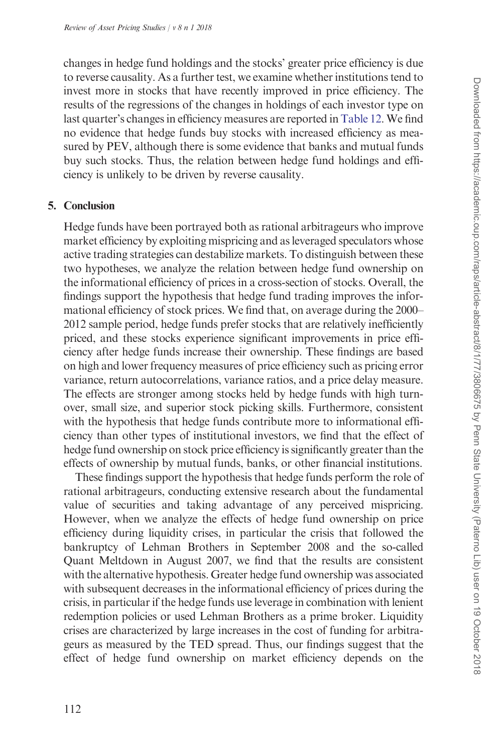changes in hedge fund holdings and the stocks' greater price efficiency is due to reverse causality. As a further test, we examine whether institutions tend to invest more in stocks that have recently improved in price efficiency. The results of the regressions of the changes in holdings of each investor type on last quarter's changes in efficiency measures are reported in[Table 12.](#page-34-0) We find no evidence that hedge funds buy stocks with increased efficiency as measured by PEV, although there is some evidence that banks and mutual funds buy such stocks. Thus, the relation between hedge fund holdings and efficiency is unlikely to be driven by reverse causality.

# 5. Conclusion

Hedge funds have been portrayed both as rational arbitrageurs who improve market efficiency by exploiting mispricing and as leveraged speculators whose active trading strategies can destabilize markets. To distinguish between these two hypotheses, we analyze the relation between hedge fund ownership on the informational efficiency of prices in a cross-section of stocks. Overall, the findings support the hypothesis that hedge fund trading improves the informational efficiency of stock prices. We find that, on average during the 2000– 2012 sample period, hedge funds prefer stocks that are relatively inefficiently priced, and these stocks experience significant improvements in price efficiency after hedge funds increase their ownership. These findings are based on high and lower frequency measures of price efficiency such as pricing error variance, return autocorrelations, variance ratios, and a price delay measure. The effects are stronger among stocks held by hedge funds with high turnover, small size, and superior stock picking skills. Furthermore, consistent with the hypothesis that hedge funds contribute more to informational efficiency than other types of institutional investors, we find that the effect of hedge fund ownership on stock price efficiency is significantly greater than the effects of ownership by mutual funds, banks, or other financial institutions.

These findings support the hypothesis that hedge funds perform the role of rational arbitrageurs, conducting extensive research about the fundamental value of securities and taking advantage of any perceived mispricing. However, when we analyze the effects of hedge fund ownership on price efficiency during liquidity crises, in particular the crisis that followed the bankruptcy of Lehman Brothers in September 2008 and the so-called Quant Meltdown in August 2007, we find that the results are consistent with the alternative hypothesis. Greater hedge fund ownership was associated with subsequent decreases in the informational efficiency of prices during the crisis, in particular if the hedge funds use leverage in combination with lenient redemption policies or used Lehman Brothers as a prime broker. Liquidity crises are characterized by large increases in the cost of funding for arbitrageurs as measured by the TED spread. Thus, our findings suggest that the effect of hedge fund ownership on market efficiency depends on the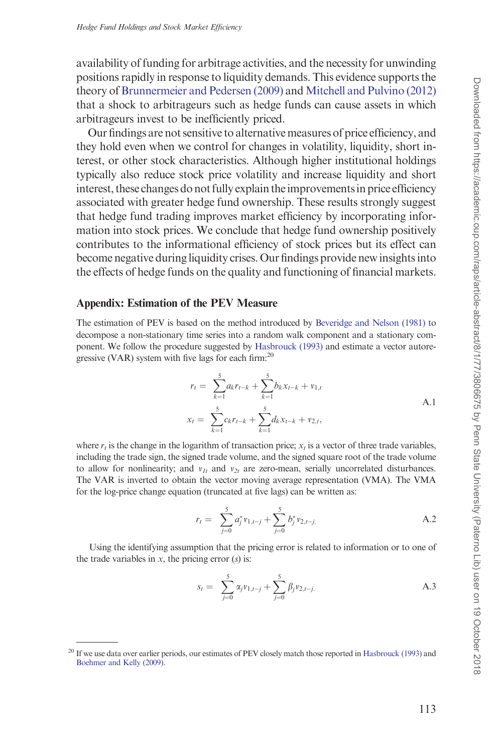availability of funding for arbitrage activities, and the necessity for unwinding positions rapidly in response to liquidity demands. This evidence supports the theory of [Brunnermeier and Pedersen \(2009\)](#page-37-0) and [Mitchell and Pulvino \(2012\)](#page-39-0) that a shock to arbitrageurs such as hedge funds can cause assets in which arbitrageurs invest to be inefficiently priced.

Our findings are not sensitive to alternative measures of price efficiency, and they hold even when we control for changes in volatility, liquidity, short interest, or other stock characteristics. Although higher institutional holdings typically also reduce stock price volatility and increase liquidity and short interest, these changes do not fully explain the improvementsin price efficiency associated with greater hedge fund ownership. These results strongly suggest that hedge fund trading improves market efficiency by incorporating information into stock prices. We conclude that hedge fund ownership positively contributes to the informational efficiency of stock prices but its effect can become negative during liquidity crises. Our findings provide new insights into the effects of hedge funds on the quality and functioning of financial markets.

#### Appendix: Estimation of the PEV Measure

The estimation of PEV is based on the method introduced by [Beveridge and Nelson \(1981\)](#page-37-0) to decompose a non-stationary time series into a random walk component and a stationary component. We follow the procedure suggested by [Hasbrouck \(1993\)](#page-38-0) and estimate a vector autoregressive (VAR) system with five lags for each firm: $^{20}$ 

$$
r_{t} = \sum_{k=1}^{5} a_{k} r_{t-k} + \sum_{k=1}^{5} b_{k} x_{t-k} + v_{1,t}
$$
  

$$
x_{t} = \sum_{k=1}^{5} c_{k} r_{t-k} + \sum_{k=1}^{5} d_{k} x_{t-k} + v_{2,t},
$$

where  $r_t$  is the change in the logarithm of transaction price;  $x_t$  is a vector of three trade variables, including the trade sign, the signed trade volume, and the signed square root of the trade volume to allow for nonlinearity; and  $v_{1t}$  and  $v_{2t}$  are zero-mean, serially uncorrelated disturbances. The VAR is inverted to obtain the vector moving average representation (VMA). The VMA for the log-price change equation (truncated at five lags) can be written as:

$$
r_{t} = \sum_{j=0}^{5} a_{j}^{*} v_{1,t-j} + \sum_{j=0}^{5} b_{j}^{*} v_{2,t-j}.
$$

Using the identifying assumption that the pricing error is related to information or to one of the trade variables in  $x$ , the pricing error  $(s)$  is:

$$
s_{t} = \sum_{j=0}^{5} \alpha_{j} v_{1,t-j} + \sum_{j=0}^{5} \beta_{j} v_{2,t-j}.
$$

<sup>&</sup>lt;sup>20</sup> If we use data over earlier periods, our estimates of PEV closely match those reported in [Hasbrouck \(1993\)](#page-38-0) and [Boehmer and Kelly \(2009\).](#page-37-0)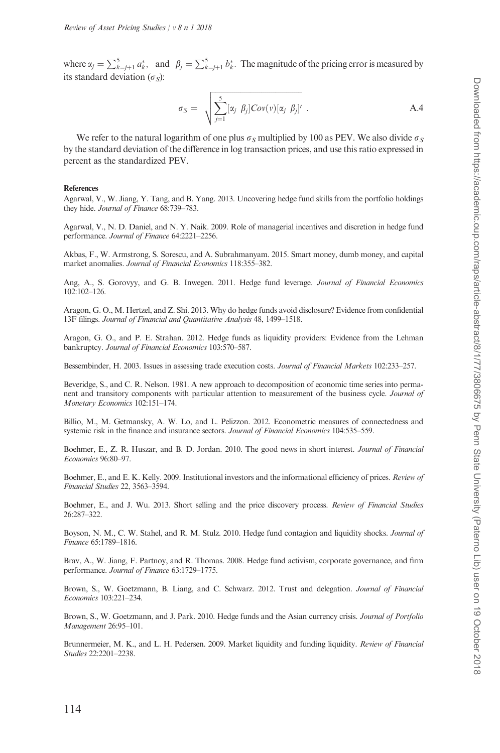<span id="page-37-0"></span>where  $\alpha_j = \sum_{k=j+1}^5 a_k^*$ , and  $\beta_j = \sum_{k=j+1}^5 b_k^*$ . The magnitude of the pricing error is measured by its standard deviation  $(\sigma_S)$ :

$$
\sigma_S = \sqrt{\sum_{j=1}^5 [\alpha_j \ \beta_j] Cov(v) [\alpha_j \ \beta_j]' } .
$$
 A.4

We refer to the natural logarithm of one plus  $\sigma_S$  multiplied by 100 as PEV. We also divide  $\sigma_S$ by the standard deviation of the difference in log transaction prices, and use this ratio expressed in percent as the standardized PEV.

#### References

Agarwal, V., W. Jiang, Y. Tang, and B. Yang. 2013. Uncovering hedge fund skills from the portfolio holdings they hide. Journal of Finance 68:739–783.

Agarwal, V., N. D. Daniel, and N. Y. Naik. 2009. Role of managerial incentives and discretion in hedge fund performance. Journal of Finance 64:2221–2256.

Akbas, F., W. Armstrong, S. Sorescu, and A. Subrahmanyam. 2015. Smart money, dumb money, and capital market anomalies. Journal of Financial Economics 118:355–382.

Ang, A., S. Gorovyy, and G. B. Inwegen. 2011. Hedge fund leverage. Journal of Financial Economics 102:102–126.

Aragon, G. O., M. Hertzel, and Z. Shi. 2013. Why do hedge funds avoid disclosure? Evidence from confidential 13F filings. Journal of Financial and Quantitative Analysis 48, 1499–1518.

Aragon, G. O., and P. E. Strahan. 2012. Hedge funds as liquidity providers: Evidence from the Lehman bankruptcy. Journal of Financial Economics 103:570–587.

Bessembinder, H. 2003. Issues in assessing trade execution costs. Journal of Financial Markets 102:233–257.

Beveridge, S., and C. R. Nelson. 1981. A new approach to decomposition of economic time series into permanent and transitory components with particular attention to measurement of the business cycle. Journal of Monetary Economics 102:151–174.

Billio, M., M. Getmansky, A. W. Lo, and L. Pelizzon. 2012. Econometric measures of connectedness and systemic risk in the finance and insurance sectors. Journal of Financial Economics 104:535–559.

Boehmer, E., Z. R. Huszar, and B. D. Jordan. 2010. The good news in short interest. Journal of Financial Economics 96:80–97.

Boehmer, E., and E. K. Kelly. 2009. Institutional investors and the informational efficiency of prices. Review of Financial Studies 22, 3563–3594.

Boehmer, E., and J. Wu. 2013. Short selling and the price discovery process. Review of Financial Studies 26:287–322.

Boyson, N. M., C. W. Stahel, and R. M. Stulz. 2010. Hedge fund contagion and liquidity shocks. Journal of Finance 65:1789–1816.

Brav, A., W. Jiang, F. Partnoy, and R. Thomas. 2008. Hedge fund activism, corporate governance, and firm performance. Journal of Finance 63:1729–1775.

Brown, S., W. Goetzmann, B. Liang, and C. Schwarz. 2012. Trust and delegation. Journal of Financial Economics 103:221–234.

Brown, S., W. Goetzmann, and J. Park. 2010. Hedge funds and the Asian currency crisis. Journal of Portfolio Management 26:95–101.

Brunnermeier, M. K., and L. H. Pedersen. 2009. Market liquidity and funding liquidity. Review of Financial Studies 22:2201–2238.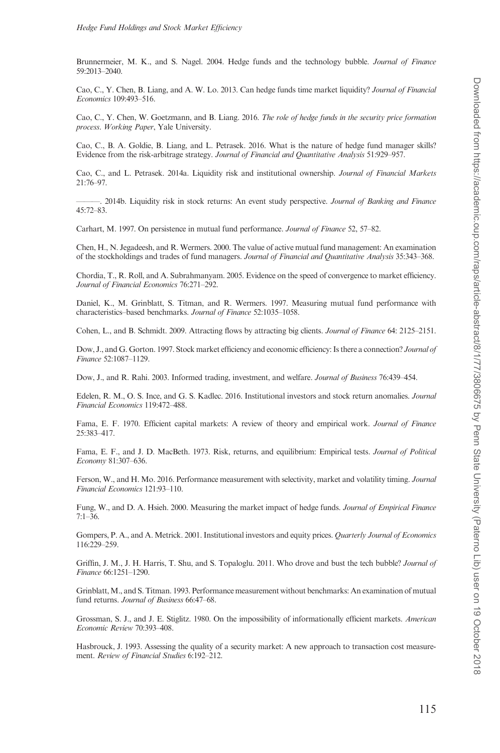<span id="page-38-0"></span>Brunnermeier, M. K., and S. Nagel. 2004. Hedge funds and the technology bubble. Journal of Finance 59:2013–2040.

Cao, C., Y. Chen, B. Liang, and A. W. Lo. 2013. Can hedge funds time market liquidity? Journal of Financial Economics 109:493–516.

Cao, C., Y. Chen, W. Goetzmann, and B. Liang. 2016. The role of hedge funds in the security price formation process. Working Paper, Yale University.

Cao, C., B. A. Goldie, B. Liang, and L. Petrasek. 2016. What is the nature of hedge fund manager skills? Evidence from the risk-arbitrage strategy. Journal of Financial and Quantitative Analysis 51:929–957.

Cao, C., and L. Petrasek. 2014a. Liquidity risk and institutional ownership. Journal of Financial Markets 21:76–97.

- 2014b. Liquidity risk in stock returns: An event study perspective. Journal of Banking and Finance 45:72–83.

Carhart, M. 1997. On persistence in mutual fund performance. Journal of Finance 52, 57–82.

Chen, H., N. Jegadeesh, and R. Wermers. 2000. The value of active mutual fund management: An examination of the stockholdings and trades of fund managers. Journal of Financial and Quantitative Analysis 35:343–368.

Chordia, T., R. Roll, and A. Subrahmanyam. 2005. Evidence on the speed of convergence to market efficiency. Journal of Financial Economics 76:271–292.

Daniel, K., M. Grinblatt, S. Titman, and R. Wermers. 1997. Measuring mutual fund performance with characteristics–based benchmarks. Journal of Finance 52:1035–1058.

Cohen, L., and B. Schmidt. 2009. Attracting flows by attracting big clients. Journal of Finance 64: 2125–2151.

Dow, J., and G. Gorton. 1997. Stock market efficiency and economic efficiency: Is there a connection? Journal of Finance 52:1087–1129.

Dow, J., and R. Rahi. 2003. Informed trading, investment, and welfare. Journal of Business 76:439–454.

Edelen, R. M., O. S. Ince, and G. S. Kadlec. 2016. Institutional investors and stock return anomalies. Journal Financial Economics 119:472–488.

Fama, E. F. 1970. Efficient capital markets: A review of theory and empirical work. Journal of Finance 25:383–417.

Fama, E. F., and J. D. MacBeth. 1973. Risk, returns, and equilibrium: Empirical tests. Journal of Political Economy 81:307–636.

Ferson, W., and H. Mo. 2016. Performance measurement with selectivity, market and volatility timing. Journal Financial Economics 121:93–110.

Fung, W., and D. A. Hsieh. 2000. Measuring the market impact of hedge funds. Journal of Empirical Finance  $7.1 - 36$ 

Gompers, P. A., and A. Metrick. 2001. Institutional investors and equity prices. Quarterly Journal of Economics 116:229–259.

Griffin, J. M., J. H. Harris, T. Shu, and S. Topaloglu. 2011. Who drove and bust the tech bubble? Journal of Finance 66:1251–1290.

Grinblatt,M., and S. Titman. 1993. Performance measurement without benchmarks: An examination of mutual fund returns. Journal of Business 66:47–68.

Grossman, S. J., and J. E. Stiglitz. 1980. On the impossibility of informationally efficient markets. American Economic Review 70:393–408.

Hasbrouck, J. 1993. Assessing the quality of a security market: A new approach to transaction cost measurement. Review of Financial Studies 6:192–212.